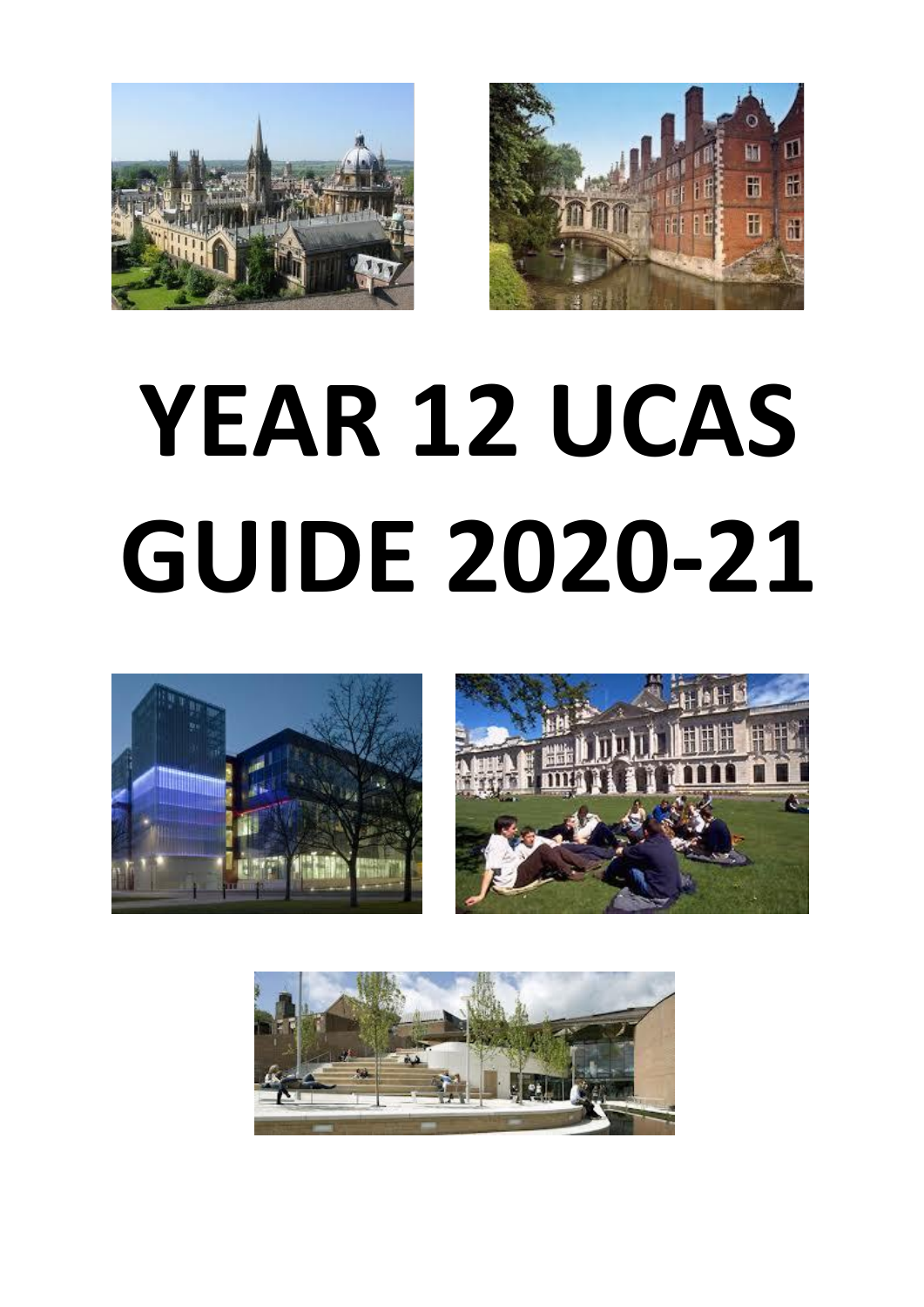



# **YEAR 12 UCAS GUIDE 2020-21**





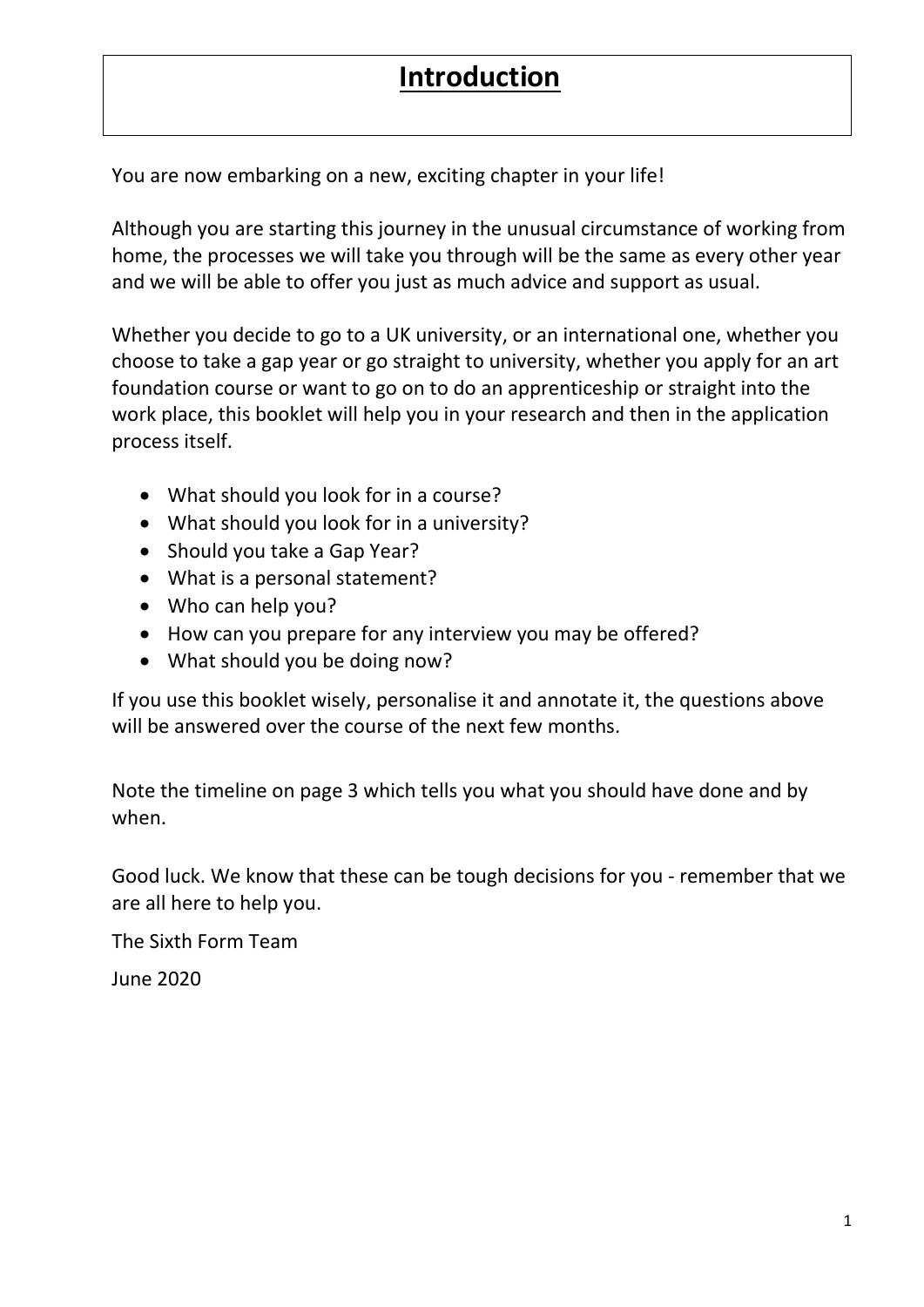# **Introduction**

You are now embarking on a new, exciting chapter in your life!

Although you are starting this journey in the unusual circumstance of working from home, the processes we will take you through will be the same as every other year and we will be able to offer you just as much advice and support as usual.

Whether you decide to go to a UK university, or an international one, whether you choose to take a gap year or go straight to university, whether you apply for an art foundation course or want to go on to do an apprenticeship or straight into the work place, this booklet will help you in your research and then in the application process itself.

- What should you look for in a course?
- What should you look for in a university?
- Should you take a Gap Year?
- What is a personal statement?
- Who can help you?
- How can you prepare for any interview you may be offered?
- What should you be doing now?

If you use this booklet wisely, personalise it and annotate it, the questions above will be answered over the course of the next few months.

Note the timeline on page 3 which tells you what you should have done and by when.

Good luck. We know that these can be tough decisions for you - remember that we are all here to help you.

The Sixth Form Team

June 2020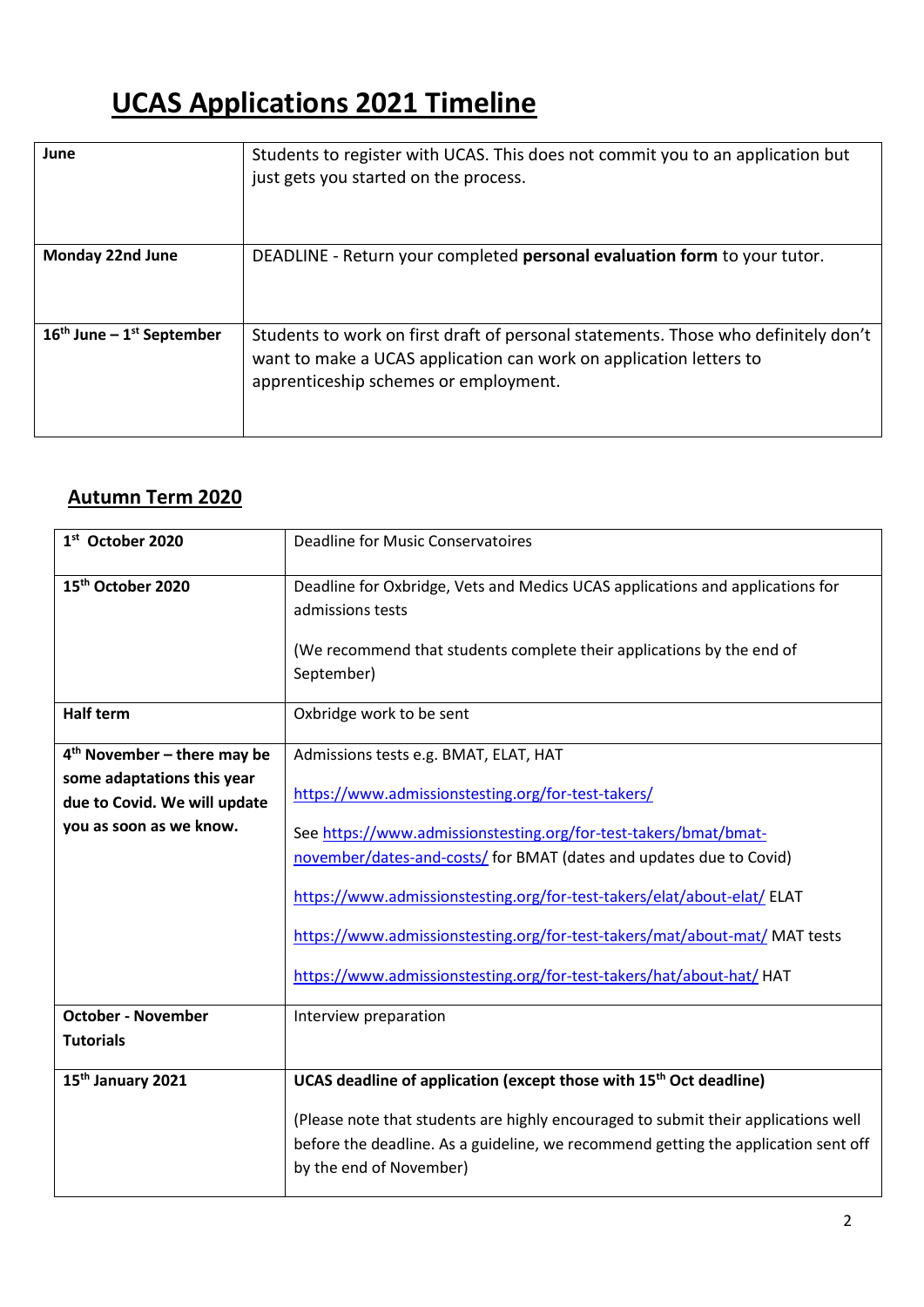# **UCAS Applications 2021 Timeline**

| June                          | Students to register with UCAS. This does not commit you to an application but<br>just gets you started on the process.                                                                           |
|-------------------------------|---------------------------------------------------------------------------------------------------------------------------------------------------------------------------------------------------|
| Monday 22nd June              | DEADLINE - Return your completed personal evaluation form to your tutor.                                                                                                                          |
| $16th$ June – $1st$ September | Students to work on first draft of personal statements. Those who definitely don't<br>want to make a UCAS application can work on application letters to<br>apprenticeship schemes or employment. |

# **Autumn Term 2020**

| 1st October 2020                                                                                                       | <b>Deadline for Music Conservatoires</b>                                                                                                                                                                                                                                                                                                                                                                                                                                |
|------------------------------------------------------------------------------------------------------------------------|-------------------------------------------------------------------------------------------------------------------------------------------------------------------------------------------------------------------------------------------------------------------------------------------------------------------------------------------------------------------------------------------------------------------------------------------------------------------------|
| 15 <sup>th</sup> October 2020                                                                                          | Deadline for Oxbridge, Vets and Medics UCAS applications and applications for<br>admissions tests<br>(We recommend that students complete their applications by the end of<br>September)                                                                                                                                                                                                                                                                                |
| <b>Half term</b>                                                                                                       | Oxbridge work to be sent                                                                                                                                                                                                                                                                                                                                                                                                                                                |
| $4th$ November – there may be<br>some adaptations this year<br>due to Covid. We will update<br>you as soon as we know. | Admissions tests e.g. BMAT, ELAT, HAT<br>https://www.admissionstesting.org/for-test-takers/<br>See https://www.admissionstesting.org/for-test-takers/bmat/bmat-<br>november/dates-and-costs/ for BMAT (dates and updates due to Covid)<br>https://www.admissionstesting.org/for-test-takers/elat/about-elat/ ELAT<br>https://www.admissionstesting.org/for-test-takers/mat/about-mat/ MAT tests<br>https://www.admissionstesting.org/for-test-takers/hat/about-hat/ HAT |
| <b>October - November</b><br><b>Tutorials</b>                                                                          | Interview preparation                                                                                                                                                                                                                                                                                                                                                                                                                                                   |
| 15 <sup>th</sup> January 2021                                                                                          | UCAS deadline of application (except those with 15 <sup>th</sup> Oct deadline)                                                                                                                                                                                                                                                                                                                                                                                          |
|                                                                                                                        | (Please note that students are highly encouraged to submit their applications well<br>before the deadline. As a guideline, we recommend getting the application sent off<br>by the end of November)                                                                                                                                                                                                                                                                     |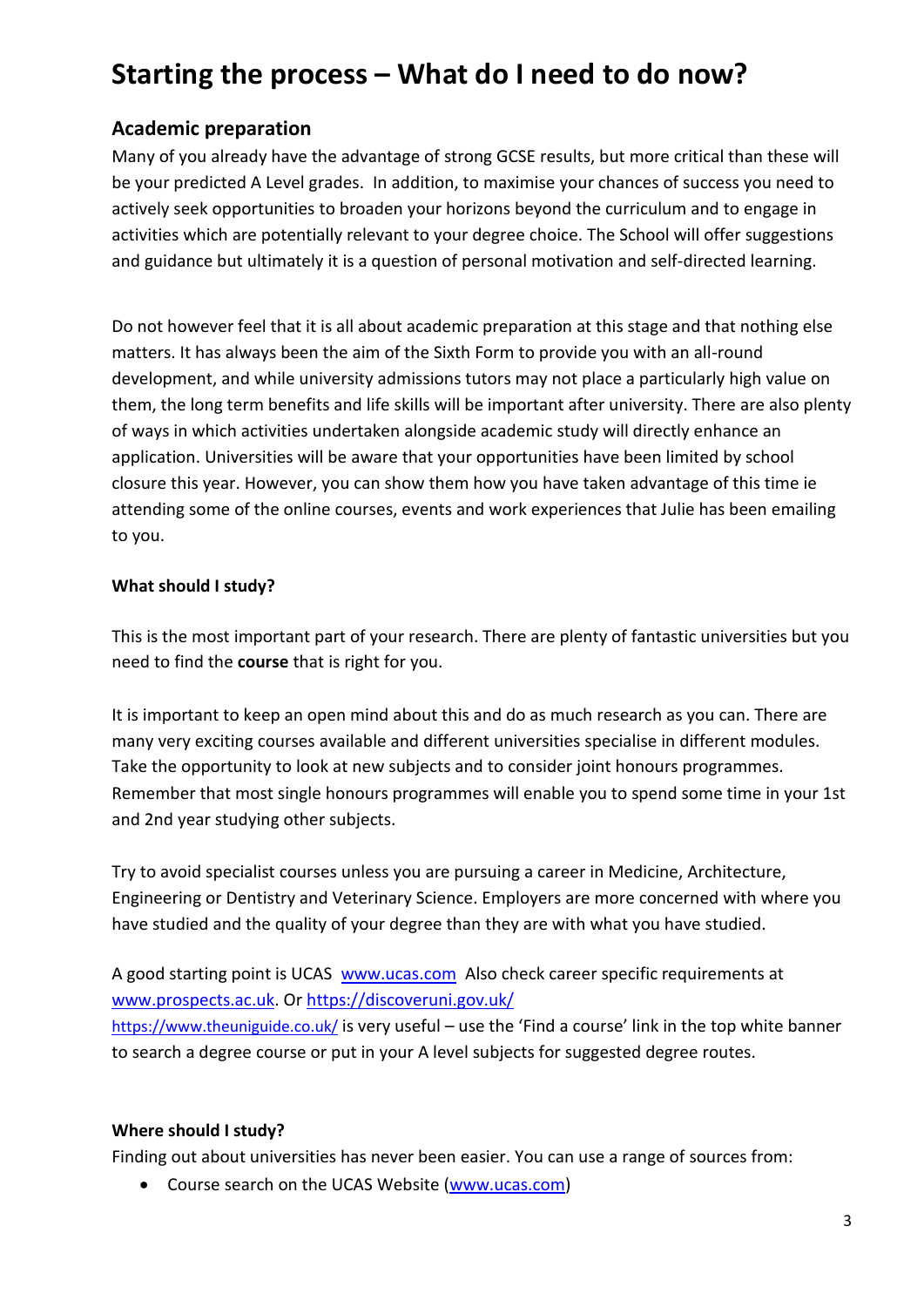# **Starting the process – What do I need to do now?**

## **Academic preparation**

Many of you already have the advantage of strong GCSE results, but more critical than these will be your predicted A Level grades. In addition, to maximise your chances of success you need to actively seek opportunities to broaden your horizons beyond the curriculum and to engage in activities which are potentially relevant to your degree choice. The School will offer suggestions and guidance but ultimately it is a question of personal motivation and self-directed learning.

Do not however feel that it is all about academic preparation at this stage and that nothing else matters. It has always been the aim of the Sixth Form to provide you with an all-round development, and while university admissions tutors may not place a particularly high value on them, the long term benefits and life skills will be important after university. There are also plenty of ways in which activities undertaken alongside academic study will directly enhance an application. Universities will be aware that your opportunities have been limited by school closure this year. However, you can show them how you have taken advantage of this time ie attending some of the online courses, events and work experiences that Julie has been emailing to you.

#### **What should I study?**

This is the most important part of your research. There are plenty of fantastic universities but you need to find the **course** that is right for you.

It is important to keep an open mind about this and do as much research as you can. There are many very exciting courses available and different universities specialise in different modules. Take the opportunity to look at new subjects and to consider joint honours programmes. Remember that most single honours programmes will enable you to spend some time in your 1st and 2nd year studying other subjects.

Try to avoid specialist courses unless you are pursuing a career in Medicine, Architecture, Engineering or Dentistry and Veterinary Science. Employers are more concerned with where you have studied and the quality of your degree than they are with what you have studied.

A good starting point is UCAS [www.ucas.com](https://exchange.clsg.org.uk/owa/redir.aspx?C=b1d2a48da3344ad5b39c46ec3121710f&URL=http%3a%2f%2fwww.ucas.com) Also check career specific requirements at [www.prospects.ac.uk.](http://www.prospects.ac.uk/) Or<https://discoveruni.gov.uk/> <https://www.theuniguide.co.uk/> is very useful – use the 'Find a course' link in the top white banner to search a degree course or put in your A level subjects for suggested degree routes.

## **Where should I study?**

Finding out about universities has never been easier. You can use a range of sources from:

Course search on the UCAS Website [\(www.ucas.com\)](https://exchange.clsg.org.uk/owa/redir.aspx?C=b1d2a48da3344ad5b39c46ec3121710f&URL=http%3a%2f%2fwww.ucas.com)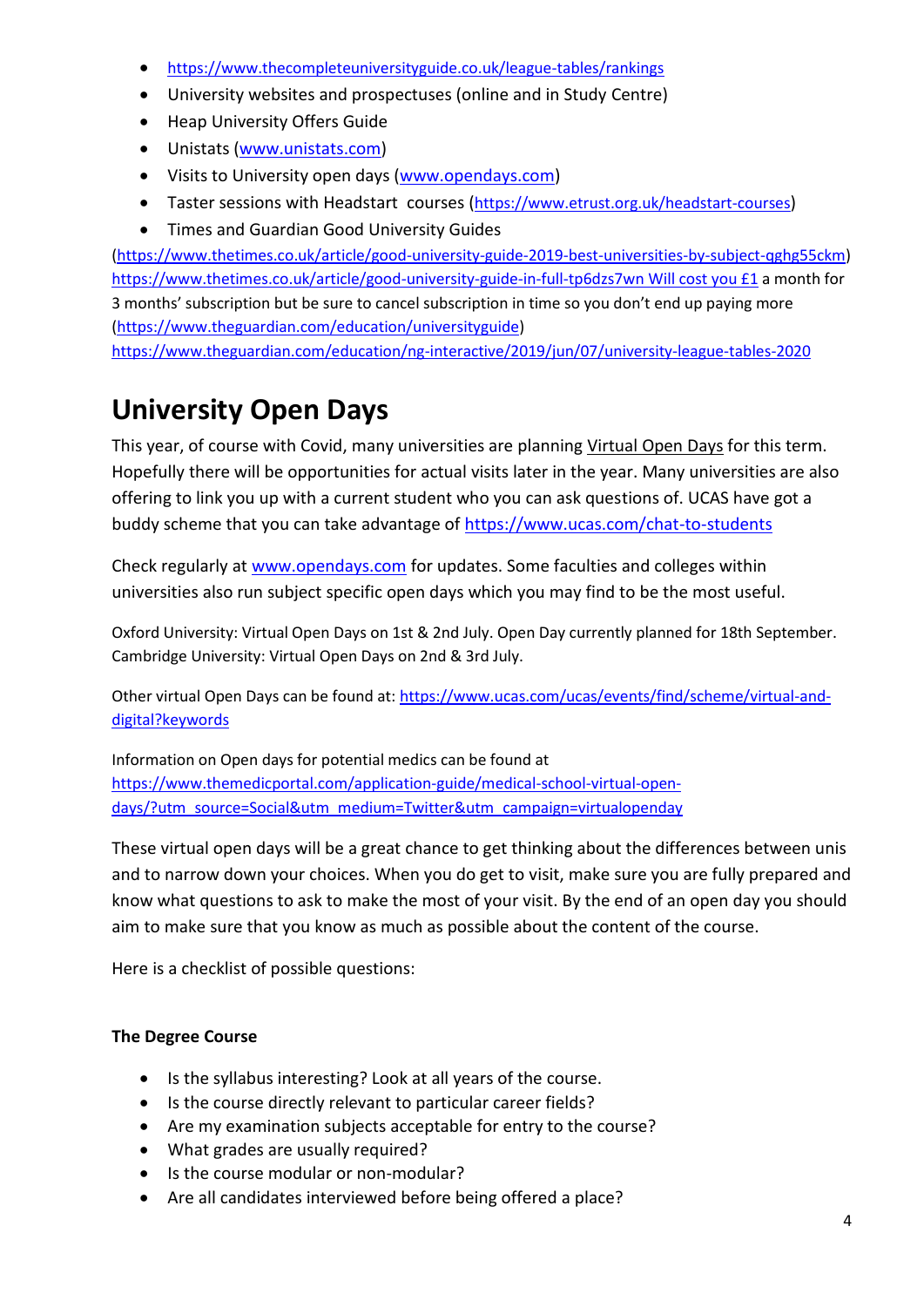- <https://www.thecompleteuniversityguide.co.uk/league-tables/rankings>
- University websites and prospectuses (online and in Study Centre)
- Heap University Offers Guide
- Unistats [\(www.unistats.com\)](http://www.unistats.com/)
- Visits to University open days [\(www.opendays.com\)](https://exchange.clsg.org.uk/owa/redir.aspx?C=b1d2a48da3344ad5b39c46ec3121710f&URL=http%3a%2f%2fwww.opendays.com)
- Taster sessions with Headstart courses (<https://www.etrust.org.uk/headstart-courses>)
- Times and Guardian Good University Guides

[\(https://www.thetimes.co.uk/article/good-university-guide-2019-best-universities-by-subject-qghg55ckm\)](https://www.thetimes.co.uk/article/good-university-guide-2019-best-universities-by-subject-qghg55ckm) [https://www.thetimes.co.uk/article/good-university-guide-in-full-tp6dzs7wn Will cost you £1](https://www.thetimes.co.uk/article/good-university-guide-in-full-tp6dzs7wn%20Will%20cost%20you%20£1) a month for 3 months' subscription but be sure to cancel subscription in time so you don't end up paying more [\(https://www.theguardian.com/education/universityguide\)](https://www.theguardian.com/education/universityguide)

<https://www.theguardian.com/education/ng-interactive/2019/jun/07/university-league-tables-2020>

# **University Open Days**

This year, of course with Covid, many universities are planning Virtual Open Days for this term. Hopefully there will be opportunities for actual visits later in the year. Many universities are also offering to link you up with a current student who you can ask questions of. UCAS have got a buddy scheme that you can take advantage of<https://www.ucas.com/chat-to-students>

Check regularly at [www.opendays.com](http://www.opendays.com/) for updates. Some faculties and colleges within universities also run subject specific open days which you may find to be the most useful.

Oxford University: Virtual Open Days on 1st & 2nd July. Open Day currently planned for 18th September. Cambridge University: Virtual Open Days on 2nd & 3rd July.

Other virtual Open Days can be found at[: https://www.ucas.com/ucas/events/find/scheme/virtual-and](https://www.ucas.com/ucas/events/find/scheme/virtual-and-digital?keywords)[digital?keywords](https://www.ucas.com/ucas/events/find/scheme/virtual-and-digital?keywords)

Information on Open days for potential medics can be found at [https://www.themedicportal.com/application-guide/medical-school-virtual-open](https://www.themedicportal.com/application-guide/medical-school-virtual-open-days/?utm_source=Social&utm_medium=Twitter&utm_campaign=virtualopenday)[days/?utm\\_source=Social&utm\\_medium=Twitter&utm\\_campaign=virtualopenday](https://www.themedicportal.com/application-guide/medical-school-virtual-open-days/?utm_source=Social&utm_medium=Twitter&utm_campaign=virtualopenday)

These virtual open days will be a great chance to get thinking about the differences between unis and to narrow down your choices. When you do get to visit, make sure you are fully prepared and know what questions to ask to make the most of your visit. By the end of an open day you should aim to make sure that you know as much as possible about the content of the course.

Here is a checklist of possible questions:

## **The Degree Course**

- Is the syllabus interesting? Look at all years of the course.
- Is the course directly relevant to particular career fields?
- Are my examination subjects acceptable for entry to the course?
- What grades are usually required?
- Is the course modular or non-modular?
- Are all candidates interviewed before being offered a place?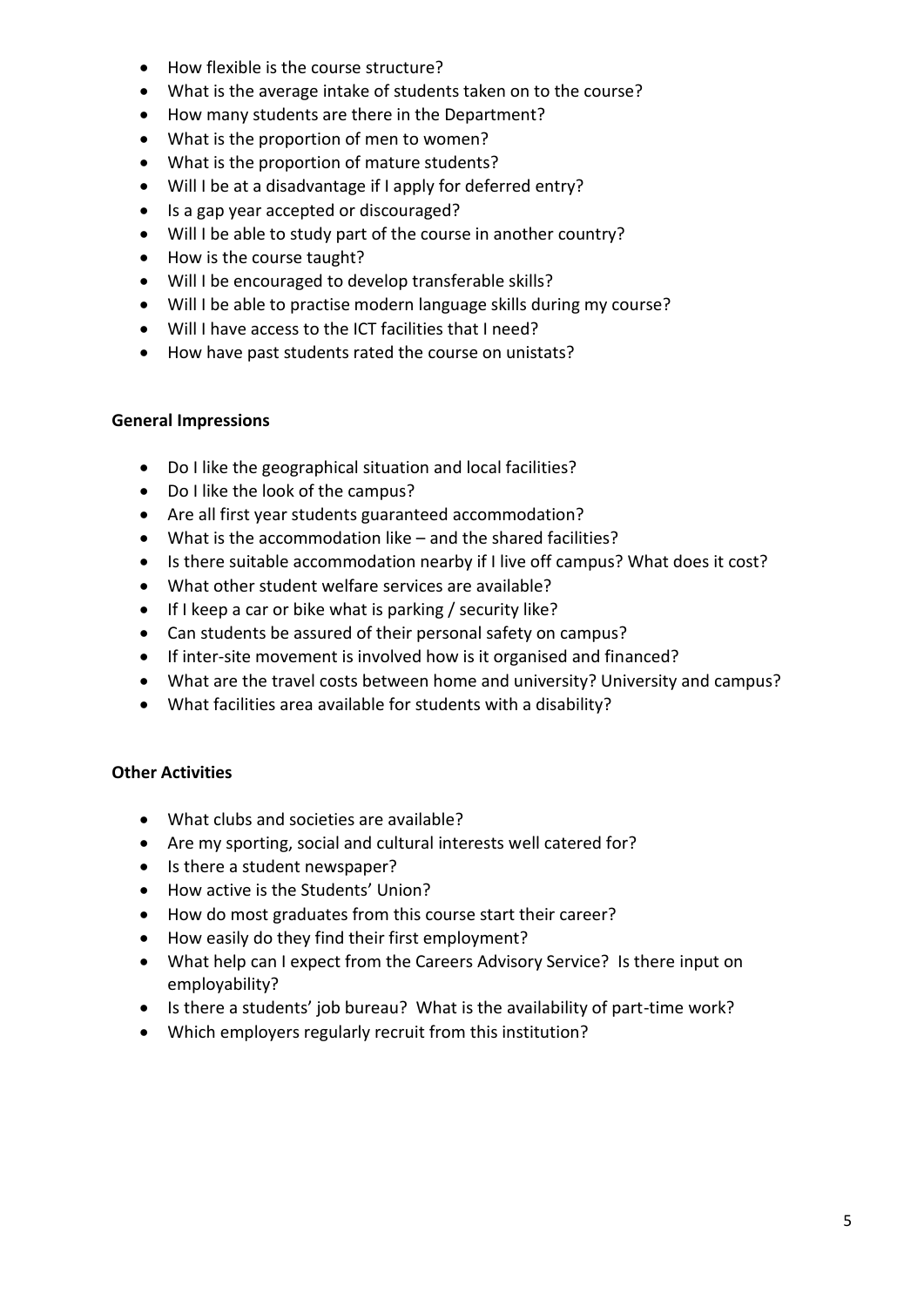- How flexible is the course structure?
- What is the average intake of students taken on to the course?
- How many students are there in the Department?
- What is the proportion of men to women?
- What is the proportion of mature students?
- Will I be at a disadvantage if I apply for deferred entry?
- Is a gap year accepted or discouraged?
- Will I be able to study part of the course in another country?
- How is the course taught?
- Will I be encouraged to develop transferable skills?
- Will I be able to practise modern language skills during my course?
- Will I have access to the ICT facilities that I need?
- How have past students rated the course on unistats?

#### **General Impressions**

- Do I like the geographical situation and local facilities?
- Do I like the look of the campus?
- Are all first year students guaranteed accommodation?
- What is the accommodation like and the shared facilities?
- Is there suitable accommodation nearby if I live off campus? What does it cost?
- What other student welfare services are available?
- If I keep a car or bike what is parking / security like?
- Can students be assured of their personal safety on campus?
- If inter-site movement is involved how is it organised and financed?
- What are the travel costs between home and university? University and campus?
- What facilities area available for students with a disability?

#### **Other Activities**

- What clubs and societies are available?
- Are my sporting, social and cultural interests well catered for?
- Is there a student newspaper?
- How active is the Students' Union?
- How do most graduates from this course start their career?
- How easily do they find their first employment?
- What help can I expect from the Careers Advisory Service? Is there input on employability?
- Is there a students' job bureau? What is the availability of part-time work?
- Which employers regularly recruit from this institution?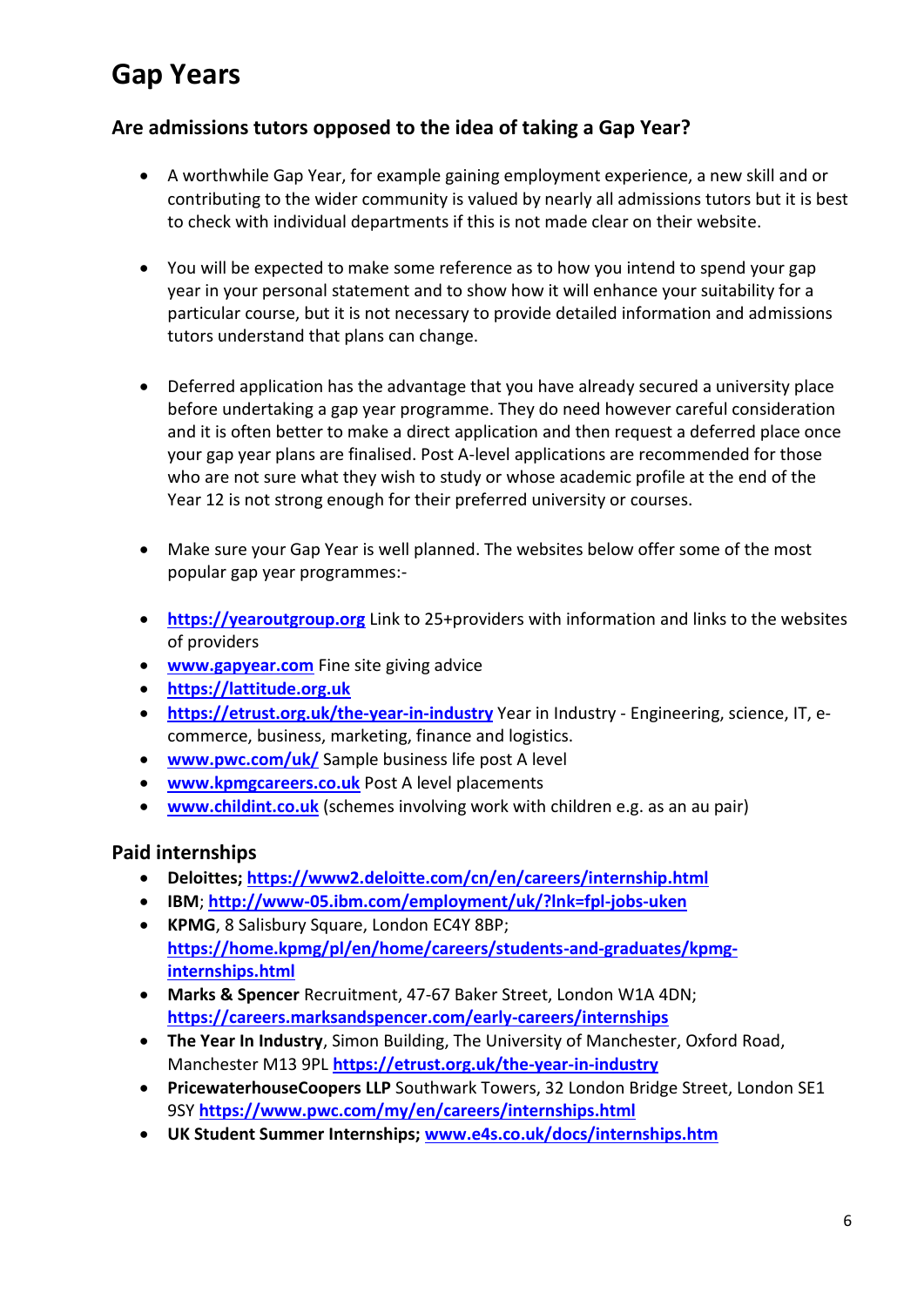# **Gap Years**

## **Are admissions tutors opposed to the idea of taking a Gap Year?**

- A worthwhile Gap Year, for example gaining employment experience, a new skill and or contributing to the wider community is valued by nearly all admissions tutors but it is best to check with individual departments if this is not made clear on their website.
- You will be expected to make some reference as to how you intend to spend your gap year in your personal statement and to show how it will enhance your suitability for a particular course, but it is not necessary to provide detailed information and admissions tutors understand that plans can change.
- Deferred application has the advantage that you have already secured a university place before undertaking a gap year programme. They do need however careful consideration and it is often better to make a direct application and then request a deferred place once your gap year plans are finalised. Post A-level applications are recommended for those who are not sure what they wish to study or whose academic profile at the end of the Year 12 is not strong enough for their preferred university or courses.
- Make sure your Gap Year is well planned. The websites below offer some of the most popular gap year programmes:-
- **[https://yearoutgroup.org](https://exchange.clsg.org.uk/owa/redir.aspx?C=0495e9f6c9c745a99d21684a38275fdc&URL=http%3a%2f%2fwww.yearoutgroup.org%2f)** Link to 25+providers with information and links to the websites of providers
- **[www.gapyear.com](http://www.gapyear.com/)** Fine site giving advice
- **https://lattitude.org.uk**
- **<https://etrust.org.uk/the-year-in-industry>** Year in Industry Engineering, science, IT, ecommerce, business, marketing, finance and logistics.
- **[www.pwc.com/uk/](https://exchange.clsg.org.uk/owa/redir.aspx?C=0495e9f6c9c745a99d21684a38275fdc&URL=http%3a%2f%2fwww.pwc.com%2fuk%2f)** Sample business life post A level
- **[www.kpmgcareers.co.uk](https://exchange.clsg.org.uk/owa/redir.aspx?C=0495e9f6c9c745a99d21684a38275fdc&URL=http%3a%2f%2fwww.kpmgcareers.co.uk%2f)** Post A level placements
- **[www.childint.co.uk](http://www.childint.co.uk/)** (schemes involving work with children e.g. as an au pair)

## **Paid internships**

- **Deloittes;<https://www2.deloitte.com/cn/en/careers/internship.html>**
- **IBM**; **<http://www-05.ibm.com/employment/uk/?lnk=fpl-jobs-uken>**
- **KPMG**, 8 Salisbury Square, London EC4Y 8BP; **[https://home.kpmg/pl/en/home/careers/students-and-graduates/kpmg](https://home.kpmg/pl/en/home/careers/students-and-graduates/kpmg-internships.html)[internships.html](https://home.kpmg/pl/en/home/careers/students-and-graduates/kpmg-internships.html)**
- **Marks & Spencer** Recruitment, 47-67 Baker Street, London W1A 4DN; **<https://careers.marksandspencer.com/early-careers/internships>**
- **The Year In Industry**, Simon Building, The University of Manchester, Oxford Road, Manchester M13 9PL **<https://etrust.org.uk/the-year-in-industry>**
- **PricewaterhouseCoopers LLP** Southwark Towers, 32 London Bridge Street, London SE1 9SY **<https://www.pwc.com/my/en/careers/internships.html>**
- **UK Student Summer Internships; [www.e4s.co.uk/docs/internships.htm](https://exchange.clsg.org.uk/owa/redir.aspx?C=0495e9f6c9c745a99d21684a38275fdc&URL=http%3a%2f%2fwww.e4s.co.uk%2fdocs%2finternships.htm)**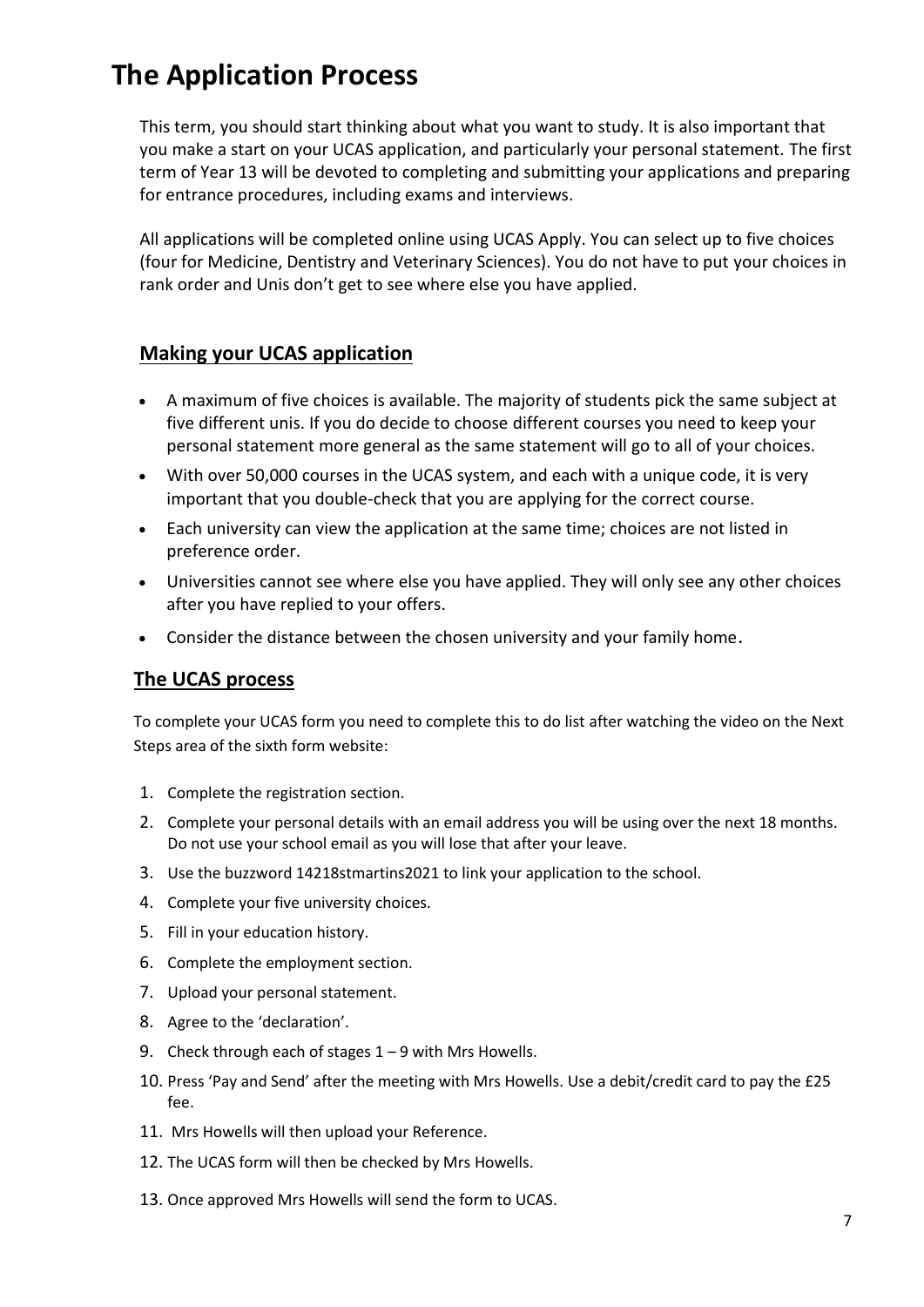# **The Application Process**

This term, you should start thinking about what you want to study. It is also important that you make a start on your UCAS application, and particularly your personal statement. The first term of Year 13 will be devoted to completing and submitting your applications and preparing for entrance procedures, including exams and interviews.

All applications will be completed online using UCAS Apply. You can select up to five choices (four for Medicine, Dentistry and Veterinary Sciences). You do not have to put your choices in rank order and Unis don't get to see where else you have applied.

#### **Making your UCAS application**

- A maximum of five choices is available. The majority of students pick the same subject at five different unis. If you do decide to choose different courses you need to keep your personal statement more general as the same statement will go to all of your choices.
- With over 50,000 courses in the UCAS system, and each with a unique code, it is very important that you double-check that you are applying for the correct course.
- Each university can view the application at the same time; choices are not listed in preference order.
- Universities cannot see where else you have applied. They will only see any other choices after you have replied to your offers.
- Consider the distance between the chosen university and your family home.

## **The UCAS process**

To complete your UCAS form you need to complete this to do list after watching the video on the Next Steps area of the sixth form website:

- 1. Complete the registration section.
- 2. Complete your personal details with an email address you will be using over the next 18 months. Do not use your school email as you will lose that after your leave.
- 3. Use the buzzword 14218stmartins2021 to link your application to the school.
- 4. Complete your five university choices.
- 5. Fill in your education history.
- 6. Complete the employment section.
- 7. Upload your personal statement.
- 8. Agree to the 'declaration'.
- 9. Check through each of stages 1 9 with Mrs Howells.
- 10. Press 'Pay and Send' after the meeting with Mrs Howells. Use a debit/credit card to pay the £25 fee.
- 11. Mrs Howells will then upload your Reference.
- 12. The UCAS form will then be checked by Mrs Howells.
- 13. Once approved Mrs Howells will send the form to UCAS.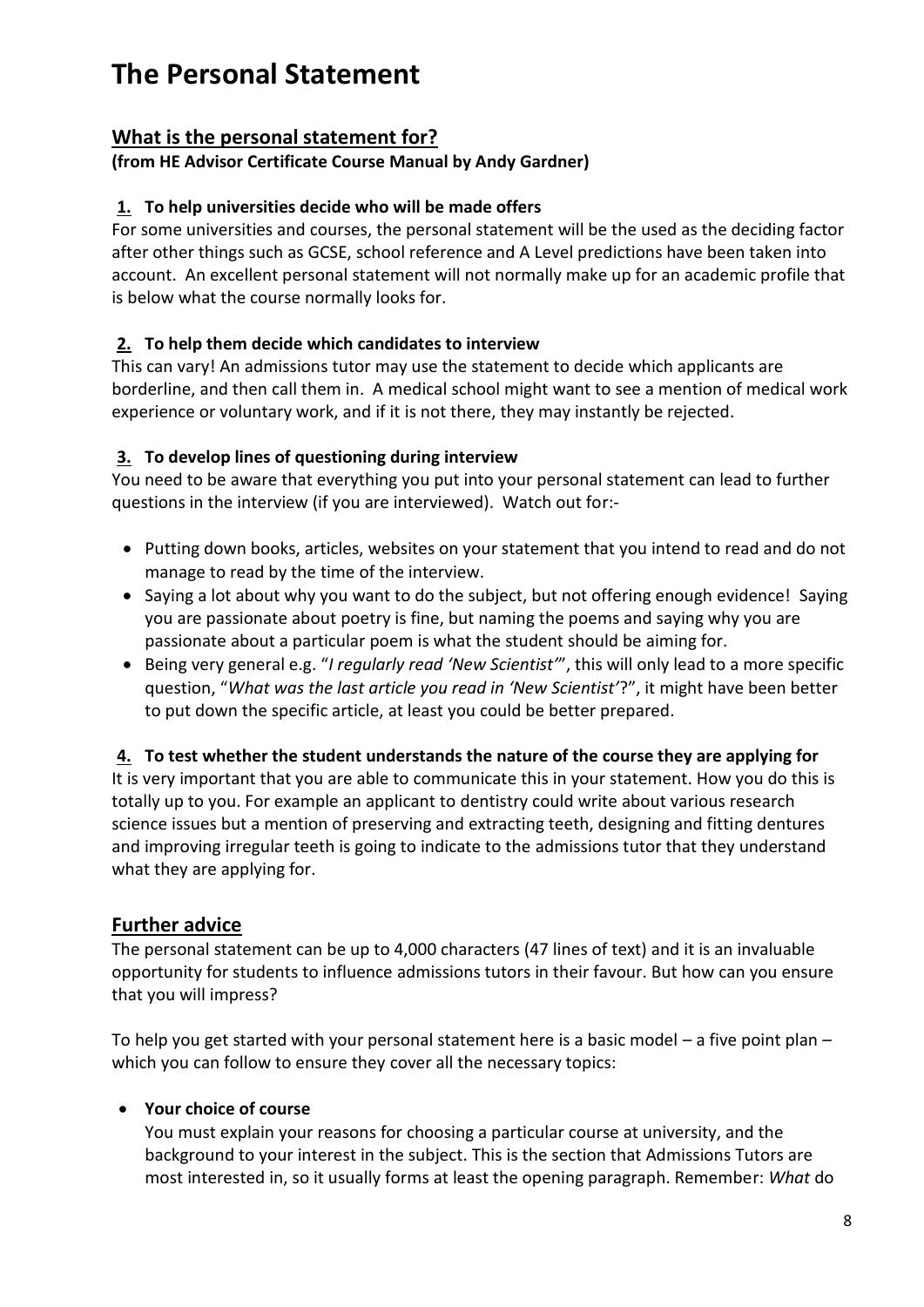# **The Personal Statement**

# **What is the personal statement for?**

#### **(from HE Advisor Certificate Course Manual by Andy Gardner)**

#### **1. To help universities decide who will be made offers**

For some universities and courses, the personal statement will be the used as the deciding factor after other things such as GCSE, school reference and A Level predictions have been taken into account. An excellent personal statement will not normally make up for an academic profile that is below what the course normally looks for.

## **2. To help them decide which candidates to interview**

This can vary! An admissions tutor may use the statement to decide which applicants are borderline, and then call them in. A medical school might want to see a mention of medical work experience or voluntary work, and if it is not there, they may instantly be rejected.

#### **3. To develop lines of questioning during interview**

You need to be aware that everything you put into your personal statement can lead to further questions in the interview (if you are interviewed). Watch out for:-

- Putting down books, articles, websites on your statement that you intend to read and do not manage to read by the time of the interview.
- Saying a lot about why you want to do the subject, but not offering enough evidence! Saying you are passionate about poetry is fine, but naming the poems and saying why you are passionate about a particular poem is what the student should be aiming for.
- Being very general e.g. "*I regularly read 'New Scientist'*", this will only lead to a more specific question, "*What was the last article you read in 'New Scientist'*?", it might have been better to put down the specific article, at least you could be better prepared.

#### **4. To test whether the student understands the nature of the course they are applying for**

It is very important that you are able to communicate this in your statement. How you do this is totally up to you. For example an applicant to dentistry could write about various research science issues but a mention of preserving and extracting teeth, designing and fitting dentures and improving irregular teeth is going to indicate to the admissions tutor that they understand what they are applying for.

## **Further advice**

The personal statement can be up to 4,000 characters (47 lines of text) and it is an invaluable opportunity for students to influence admissions tutors in their favour. But how can you ensure that you will impress?

To help you get started with your personal statement here is a basic model – a five point plan – which you can follow to ensure they cover all the necessary topics:

## **Your choice of course**

You must explain your reasons for choosing a particular course at university, and the background to your interest in the subject. This is the section that Admissions Tutors are most interested in, so it usually forms at least the opening paragraph. Remember: *What* do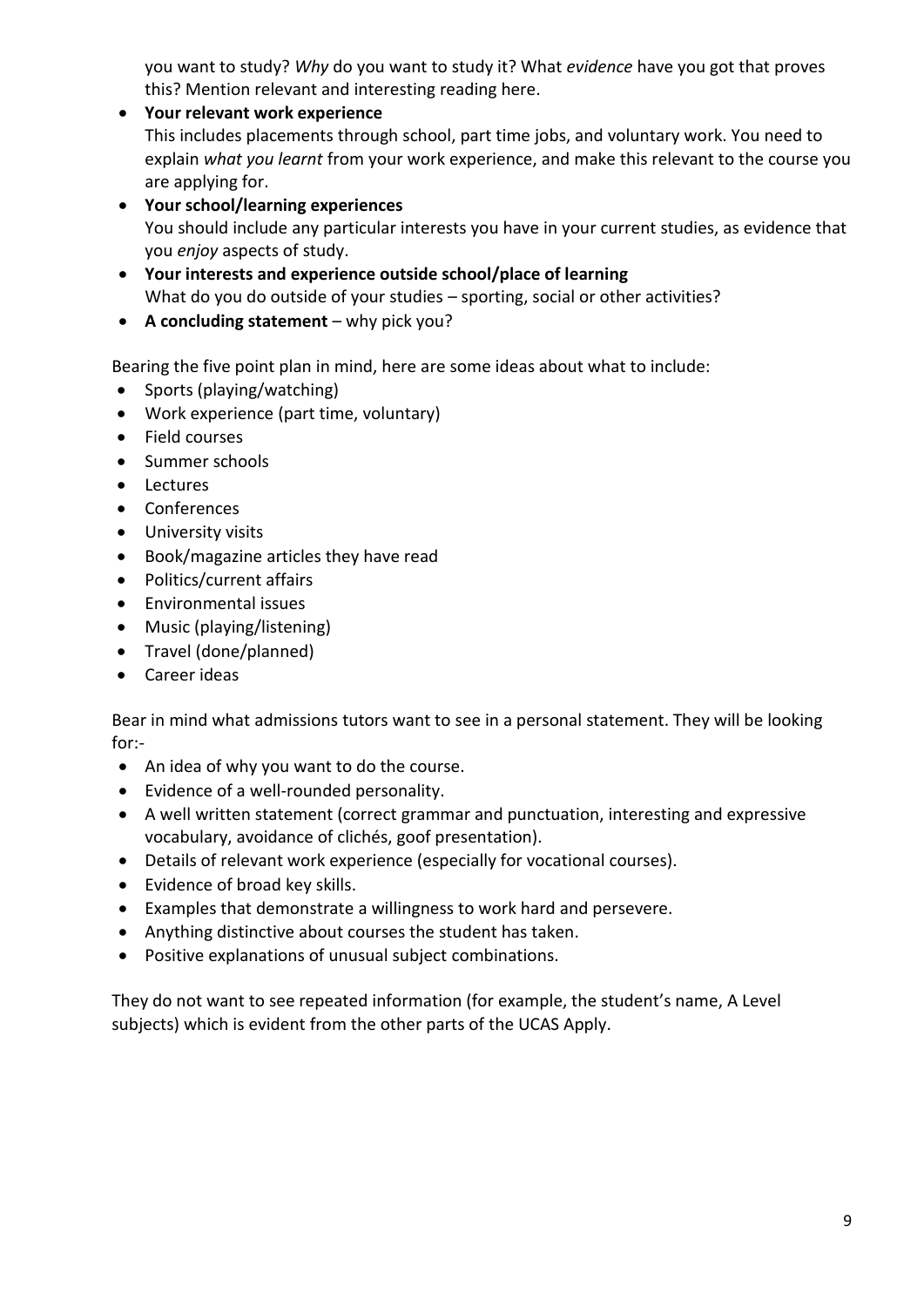you want to study? *Why* do you want to study it? What *evidence* have you got that proves this? Mention relevant and interesting reading here.

- **Your relevant work experience**  This includes placements through school, part time jobs, and voluntary work. You need to explain *what you learnt* from your work experience, and make this relevant to the course you are applying for.
- **Your school/learning experiences** You should include any particular interests you have in your current studies, as evidence that you *enjoy* aspects of study.
- **Your interests and experience outside school/place of learning** What do you do outside of your studies – sporting, social or other activities?
- **A concluding statement**  why pick you?

Bearing the five point plan in mind, here are some ideas about what to include:

- Sports (playing/watching)
- Work experience (part time, voluntary)
- Field courses
- Summer schools
- Lectures
- Conferences
- University visits
- Book/magazine articles they have read
- Politics/current affairs
- Environmental issues
- Music (playing/listening)
- Travel (done/planned)
- Career ideas

Bear in mind what admissions tutors want to see in a personal statement. They will be looking for:-

- An idea of why you want to do the course.
- Evidence of a well-rounded personality.
- A well written statement (correct grammar and punctuation, interesting and expressive vocabulary, avoidance of clichés, goof presentation).
- Details of relevant work experience (especially for vocational courses).
- Evidence of broad key skills.
- Examples that demonstrate a willingness to work hard and persevere.
- Anything distinctive about courses the student has taken.
- Positive explanations of unusual subject combinations.

They do not want to see repeated information (for example, the student's name, A Level subjects) which is evident from the other parts of the UCAS Apply.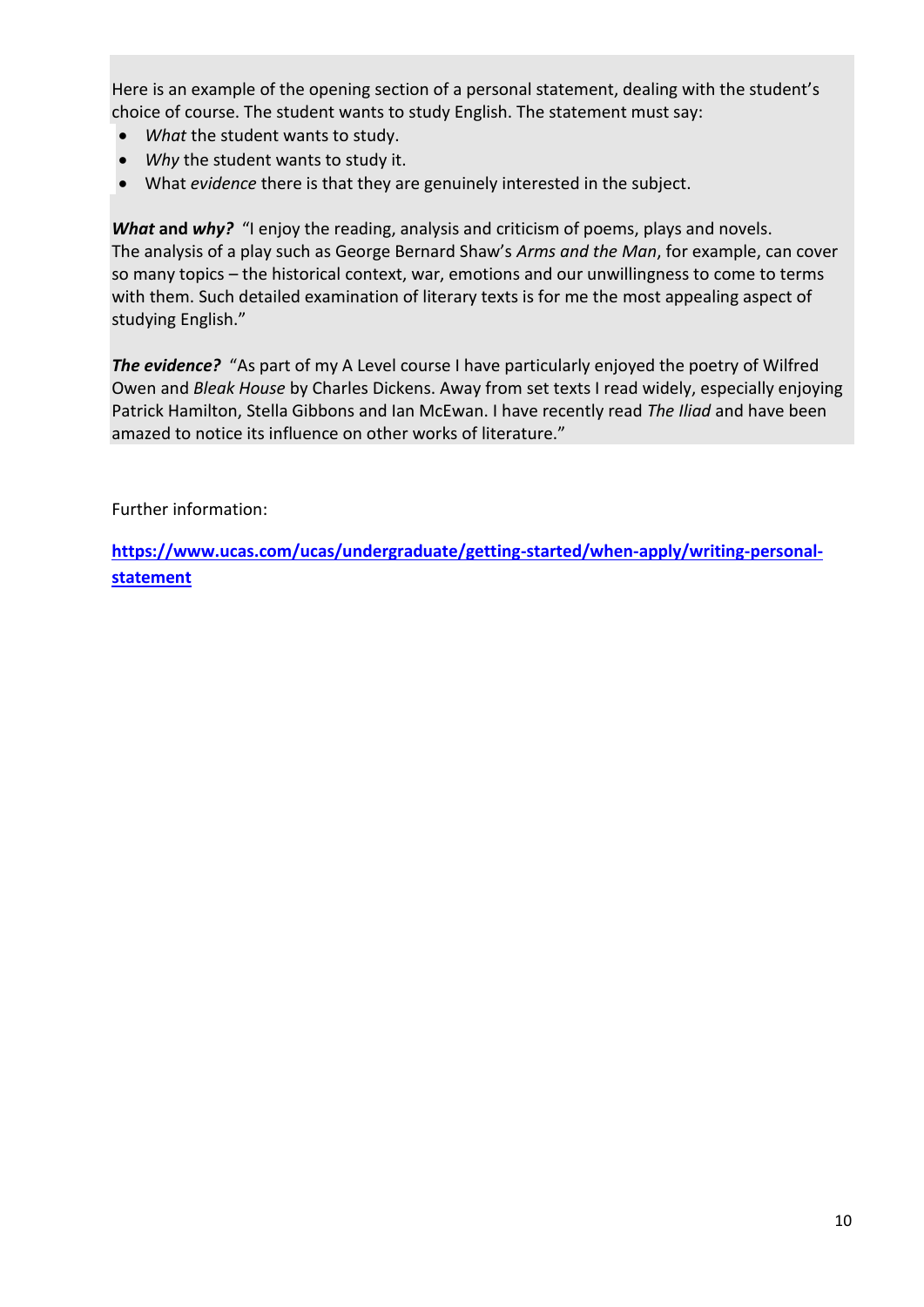Here is an example of the opening section of a personal statement, dealing with the student's choice of course. The student wants to study English. The statement must say:

- *What* the student wants to study.
- *Why* the student wants to study it.
- What *evidence* there is that they are genuinely interested in the subject.

*What* **and** *why?* "I enjoy the reading, analysis and criticism of poems, plays and novels. The analysis of a play such as George Bernard Shaw's *Arms and the Man*, for example, can cover so many topics – the historical context, war, emotions and our unwillingness to come to terms with them. Such detailed examination of literary texts is for me the most appealing aspect of studying English."

**The evidence?** "As part of my A Level course I have particularly enjoyed the poetry of Wilfred Owen and *Bleak House* by Charles Dickens. Away from set texts I read widely, especially enjoying Patrick Hamilton, Stella Gibbons and Ian McEwan. I have recently read *The Iliad* and have been amazed to notice its influence on other works of literature."

Further information:

**[https://www.ucas.com/ucas/undergraduate/getting-started/when-apply/writing-personal](https://www.ucas.com/ucas/undergraduate/getting-started/when-apply/writing-personal-statement)[statement](https://www.ucas.com/ucas/undergraduate/getting-started/when-apply/writing-personal-statement)**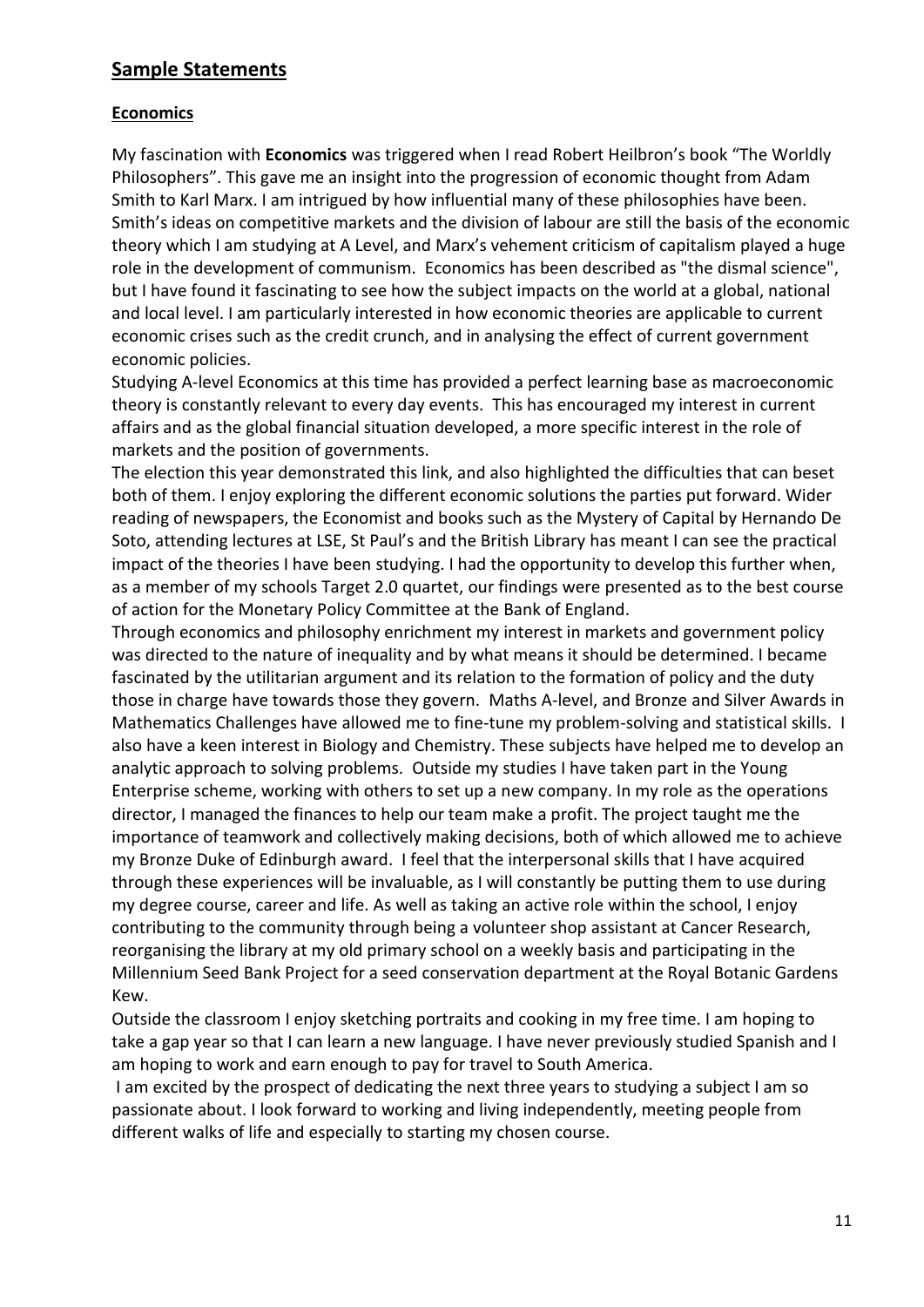## **Sample Statements**

#### **Economics**

My fascination with **Economics** was triggered when I read Robert Heilbron's book "The Worldly Philosophers". This gave me an insight into the progression of economic thought from Adam Smith to Karl Marx. I am intrigued by how influential many of these philosophies have been. Smith's ideas on competitive markets and the division of labour are still the basis of the economic theory which I am studying at A Level, and Marx's vehement criticism of capitalism played a huge role in the development of communism. Economics has been described as "the dismal science", but I have found it fascinating to see how the subject impacts on the world at a global, national and local level. I am particularly interested in how economic theories are applicable to current economic crises such as the credit crunch, and in analysing the effect of current government economic policies.

Studying A-level Economics at this time has provided a perfect learning base as macroeconomic theory is constantly relevant to every day events. This has encouraged my interest in current affairs and as the global financial situation developed, a more specific interest in the role of markets and the position of governments.

The election this year demonstrated this link, and also highlighted the difficulties that can beset both of them. I enjoy exploring the different economic solutions the parties put forward. Wider reading of newspapers, the Economist and books such as the Mystery of Capital by Hernando De Soto, attending lectures at LSE, St Paul's and the British Library has meant I can see the practical impact of the theories I have been studying. I had the opportunity to develop this further when, as a member of my schools Target 2.0 quartet, our findings were presented as to the best course of action for the Monetary Policy Committee at the Bank of England.

Through economics and philosophy enrichment my interest in markets and government policy was directed to the nature of inequality and by what means it should be determined. I became fascinated by the utilitarian argument and its relation to the formation of policy and the duty those in charge have towards those they govern. Maths A-level, and Bronze and Silver Awards in Mathematics Challenges have allowed me to fine-tune my problem-solving and statistical skills. I also have a keen interest in Biology and Chemistry. These subjects have helped me to develop an analytic approach to solving problems. Outside my studies I have taken part in the Young Enterprise scheme, working with others to set up a new company. In my role as the operations director, I managed the finances to help our team make a profit. The project taught me the importance of teamwork and collectively making decisions, both of which allowed me to achieve my Bronze Duke of Edinburgh award. I feel that the interpersonal skills that I have acquired through these experiences will be invaluable, as I will constantly be putting them to use during my degree course, career and life. As well as taking an active role within the school, I enjoy contributing to the community through being a volunteer shop assistant at Cancer Research, reorganising the library at my old primary school on a weekly basis and participating in the Millennium Seed Bank Project for a seed conservation department at the Royal Botanic Gardens Kew.

Outside the classroom I enjoy sketching portraits and cooking in my free time. I am hoping to take a gap year so that I can learn a new language. I have never previously studied Spanish and I am hoping to work and earn enough to pay for travel to South America.

I am excited by the prospect of dedicating the next three years to studying a subject I am so passionate about. I look forward to working and living independently, meeting people from different walks of life and especially to starting my chosen course.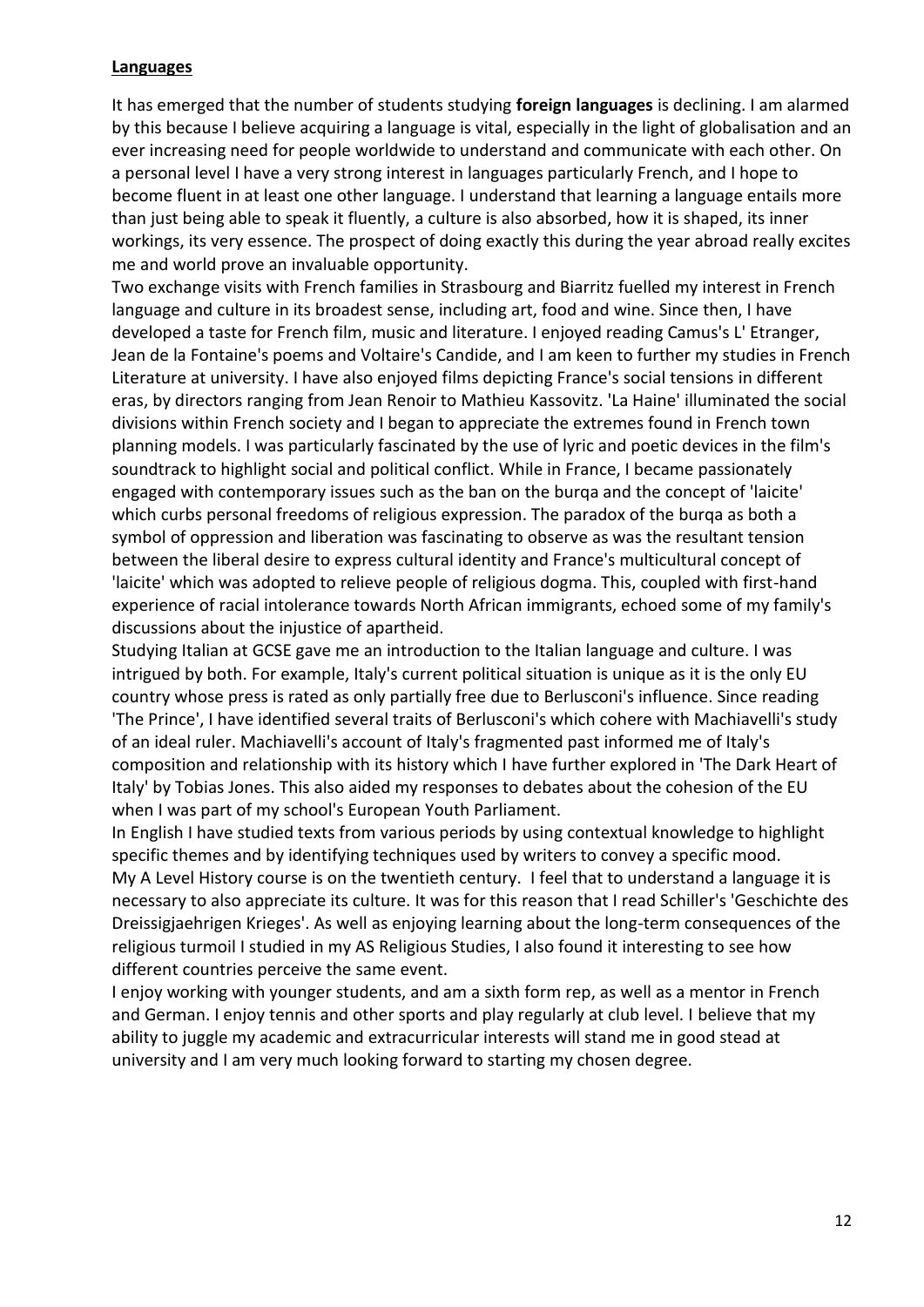#### **Languages**

It has emerged that the number of students studying **foreign languages** is declining. I am alarmed by this because I believe acquiring a language is vital, especially in the light of globalisation and an ever increasing need for people worldwide to understand and communicate with each other. On a personal level I have a very strong interest in languages particularly French, and I hope to become fluent in at least one other language. I understand that learning a language entails more than just being able to speak it fluently, a culture is also absorbed, how it is shaped, its inner workings, its very essence. The prospect of doing exactly this during the year abroad really excites me and world prove an invaluable opportunity.

Two exchange visits with French families in Strasbourg and Biarritz fuelled my interest in French language and culture in its broadest sense, including art, food and wine. Since then, I have developed a taste for French film, music and literature. I enjoyed reading Camus's L' Etranger, Jean de la Fontaine's poems and Voltaire's Candide, and I am keen to further my studies in French Literature at university. I have also enjoyed films depicting France's social tensions in different eras, by directors ranging from Jean Renoir to Mathieu Kassovitz. 'La Haine' illuminated the social divisions within French society and I began to appreciate the extremes found in French town planning models. I was particularly fascinated by the use of lyric and poetic devices in the film's soundtrack to highlight social and political conflict. While in France, I became passionately engaged with contemporary issues such as the ban on the burqa and the concept of 'laicite' which curbs personal freedoms of religious expression. The paradox of the burqa as both a symbol of oppression and liberation was fascinating to observe as was the resultant tension between the liberal desire to express cultural identity and France's multicultural concept of 'laicite' which was adopted to relieve people of religious dogma. This, coupled with first-hand experience of racial intolerance towards North African immigrants, echoed some of my family's discussions about the injustice of apartheid.

Studying Italian at GCSE gave me an introduction to the Italian language and culture. I was intrigued by both. For example, Italy's current political situation is unique as it is the only EU country whose press is rated as only partially free due to Berlusconi's influence. Since reading 'The Prince', I have identified several traits of Berlusconi's which cohere with Machiavelli's study of an ideal ruler. Machiavelli's account of Italy's fragmented past informed me of Italy's composition and relationship with its history which I have further explored in 'The Dark Heart of Italy' by Tobias Jones. This also aided my responses to debates about the cohesion of the EU when I was part of my school's European Youth Parliament.

In English I have studied texts from various periods by using contextual knowledge to highlight specific themes and by identifying techniques used by writers to convey a specific mood. My A Level History course is on the twentieth century. I feel that to understand a language it is necessary to also appreciate its culture. It was for this reason that I read Schiller's 'Geschichte des Dreissigjaehrigen Krieges'. As well as enjoying learning about the long-term consequences of the religious turmoil I studied in my AS Religious Studies, I also found it interesting to see how different countries perceive the same event.

I enjoy working with younger students, and am a sixth form rep, as well as a mentor in French and German. I enjoy tennis and other sports and play regularly at club level. I believe that my ability to juggle my academic and extracurricular interests will stand me in good stead at university and I am very much looking forward to starting my chosen degree.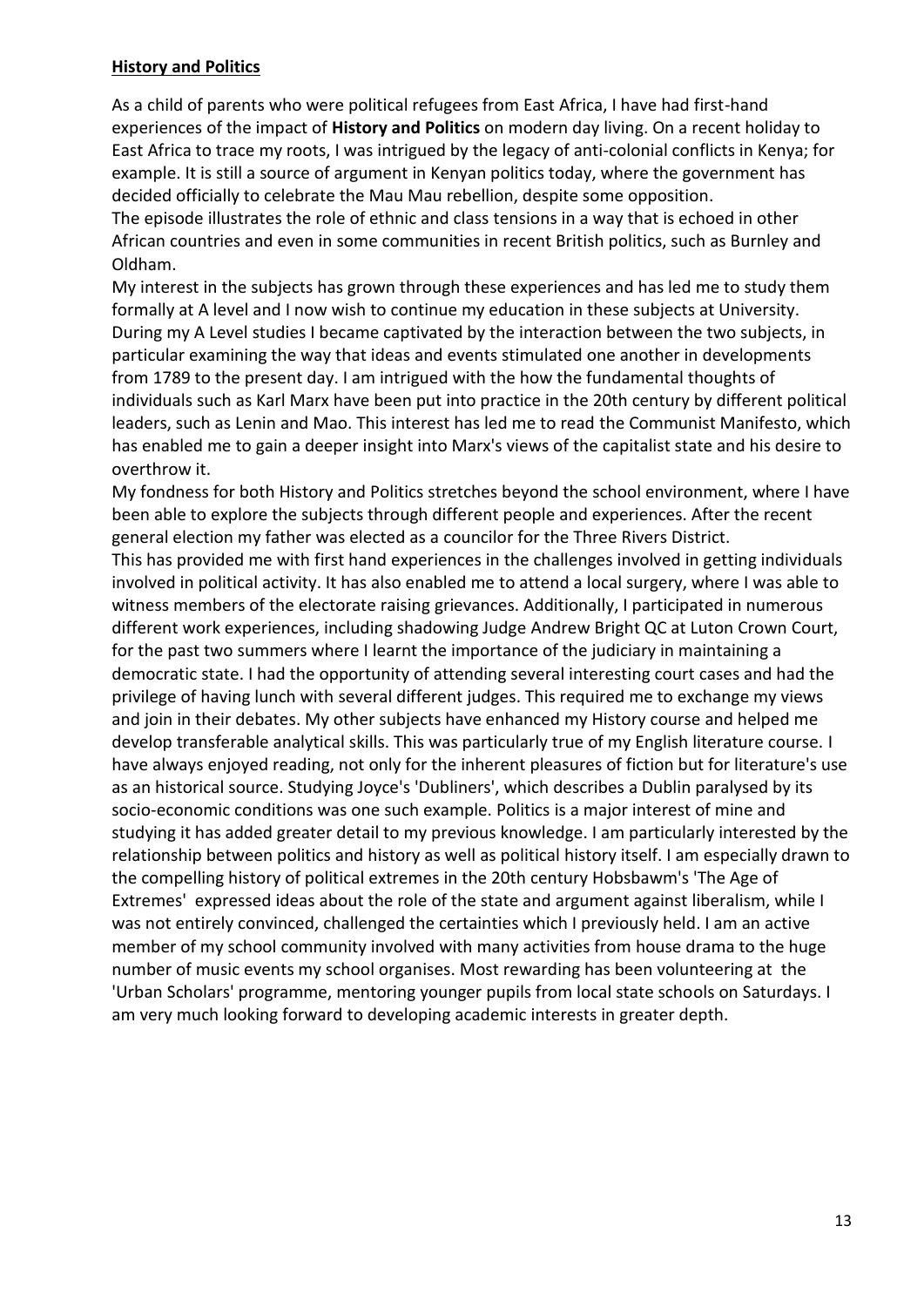#### **History and Politics**

As a child of parents who were political refugees from East Africa, I have had first-hand experiences of the impact of **History and Politics** on modern day living. On a recent holiday to East Africa to trace my roots, I was intrigued by the legacy of anti-colonial conflicts in Kenya; for example. It is still a source of argument in Kenyan politics today, where the government has decided officially to celebrate the Mau Mau rebellion, despite some opposition.

The episode illustrates the role of ethnic and class tensions in a way that is echoed in other African countries and even in some communities in recent British politics, such as Burnley and Oldham.

My interest in the subjects has grown through these experiences and has led me to study them formally at A level and I now wish to continue my education in these subjects at University. During my A Level studies I became captivated by the interaction between the two subjects, in particular examining the way that ideas and events stimulated one another in developments from 1789 to the present day. I am intrigued with the how the fundamental thoughts of individuals such as Karl Marx have been put into practice in the 20th century by different political leaders, such as Lenin and Mao. This interest has led me to read the Communist Manifesto, which has enabled me to gain a deeper insight into Marx's views of the capitalist state and his desire to overthrow it.

My fondness for both History and Politics stretches beyond the school environment, where I have been able to explore the subjects through different people and experiences. After the recent general election my father was elected as a councilor for the Three Rivers District.

This has provided me with first hand experiences in the challenges involved in getting individuals involved in political activity. It has also enabled me to attend a local surgery, where I was able to witness members of the electorate raising grievances. Additionally, I participated in numerous different work experiences, including shadowing Judge Andrew Bright QC at Luton Crown Court, for the past two summers where I learnt the importance of the judiciary in maintaining a democratic state. I had the opportunity of attending several interesting court cases and had the privilege of having lunch with several different judges. This required me to exchange my views and join in their debates. My other subjects have enhanced my History course and helped me develop transferable analytical skills. This was particularly true of my English literature course. I have always enjoyed reading, not only for the inherent pleasures of fiction but for literature's use as an historical source. Studying Joyce's 'Dubliners', which describes a Dublin paralysed by its socio-economic conditions was one such example. Politics is a major interest of mine and studying it has added greater detail to my previous knowledge. I am particularly interested by the relationship between politics and history as well as political history itself. I am especially drawn to the compelling history of political extremes in the 20th century Hobsbawm's 'The Age of Extremes' expressed ideas about the role of the state and argument against liberalism, while I was not entirely convinced, challenged the certainties which I previously held. I am an active member of my school community involved with many activities from house drama to the huge number of music events my school organises. Most rewarding has been volunteering at the 'Urban Scholars' programme, mentoring younger pupils from local state schools on Saturdays. I am very much looking forward to developing academic interests in greater depth.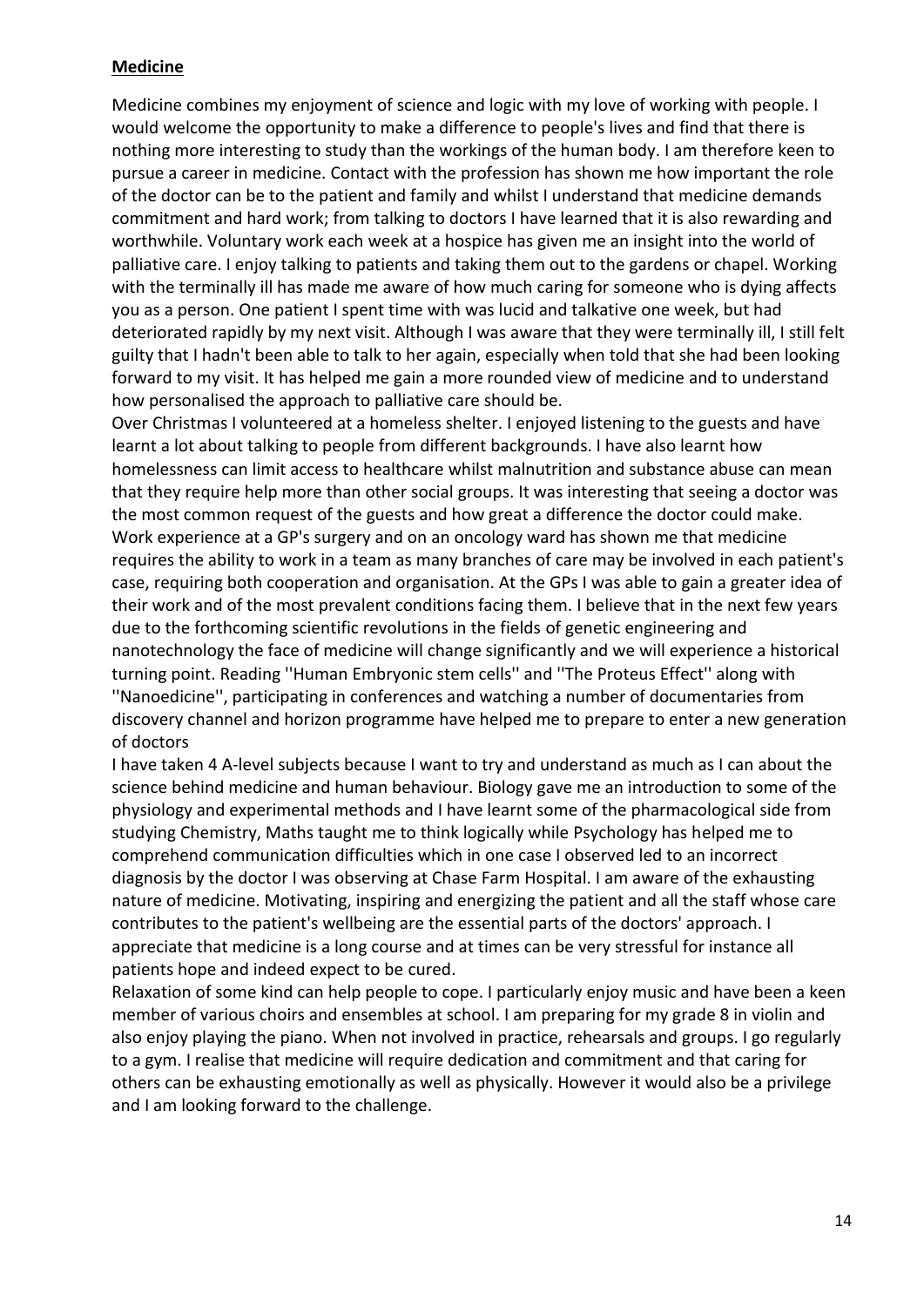#### **Medicine**

Medicine combines my enjoyment of science and logic with my love of working with people. I would welcome the opportunity to make a difference to people's lives and find that there is nothing more interesting to study than the workings of the human body. I am therefore keen to pursue a career in medicine. Contact with the profession has shown me how important the role of the doctor can be to the patient and family and whilst I understand that medicine demands commitment and hard work; from talking to doctors I have learned that it is also rewarding and worthwhile. Voluntary work each week at a hospice has given me an insight into the world of palliative care. I enjoy talking to patients and taking them out to the gardens or chapel. Working with the terminally ill has made me aware of how much caring for someone who is dying affects you as a person. One patient I spent time with was lucid and talkative one week, but had deteriorated rapidly by my next visit. Although I was aware that they were terminally ill, I still felt guilty that I hadn't been able to talk to her again, especially when told that she had been looking forward to my visit. It has helped me gain a more rounded view of medicine and to understand how personalised the approach to palliative care should be.

Over Christmas I volunteered at a homeless shelter. I enjoyed listening to the guests and have learnt a lot about talking to people from different backgrounds. I have also learnt how homelessness can limit access to healthcare whilst malnutrition and substance abuse can mean that they require help more than other social groups. It was interesting that seeing a doctor was the most common request of the guests and how great a difference the doctor could make. Work experience at a GP's surgery and on an oncology ward has shown me that medicine requires the ability to work in a team as many branches of care may be involved in each patient's case, requiring both cooperation and organisation. At the GPs I was able to gain a greater idea of their work and of the most prevalent conditions facing them. I believe that in the next few years due to the forthcoming scientific revolutions in the fields of genetic engineering and nanotechnology the face of medicine will change significantly and we will experience a historical turning point. Reading ''Human Embryonic stem cells'' and ''The Proteus Effect'' along with ''Nanoedicine'', participating in conferences and watching a number of documentaries from discovery channel and horizon programme have helped me to prepare to enter a new generation of doctors

I have taken 4 A-level subjects because I want to try and understand as much as I can about the science behind medicine and human behaviour. Biology gave me an introduction to some of the physiology and experimental methods and I have learnt some of the pharmacological side from studying Chemistry, Maths taught me to think logically while Psychology has helped me to comprehend communication difficulties which in one case I observed led to an incorrect diagnosis by the doctor I was observing at Chase Farm Hospital. I am aware of the exhausting nature of medicine. Motivating, inspiring and energizing the patient and all the staff whose care contributes to the patient's wellbeing are the essential parts of the doctors' approach. I appreciate that medicine is a long course and at times can be very stressful for instance all patients hope and indeed expect to be cured.

Relaxation of some kind can help people to cope. I particularly enjoy music and have been a keen member of various choirs and ensembles at school. I am preparing for my grade 8 in violin and also enjoy playing the piano. When not involved in practice, rehearsals and groups. I go regularly to a gym. I realise that medicine will require dedication and commitment and that caring for others can be exhausting emotionally as well as physically. However it would also be a privilege and I am looking forward to the challenge.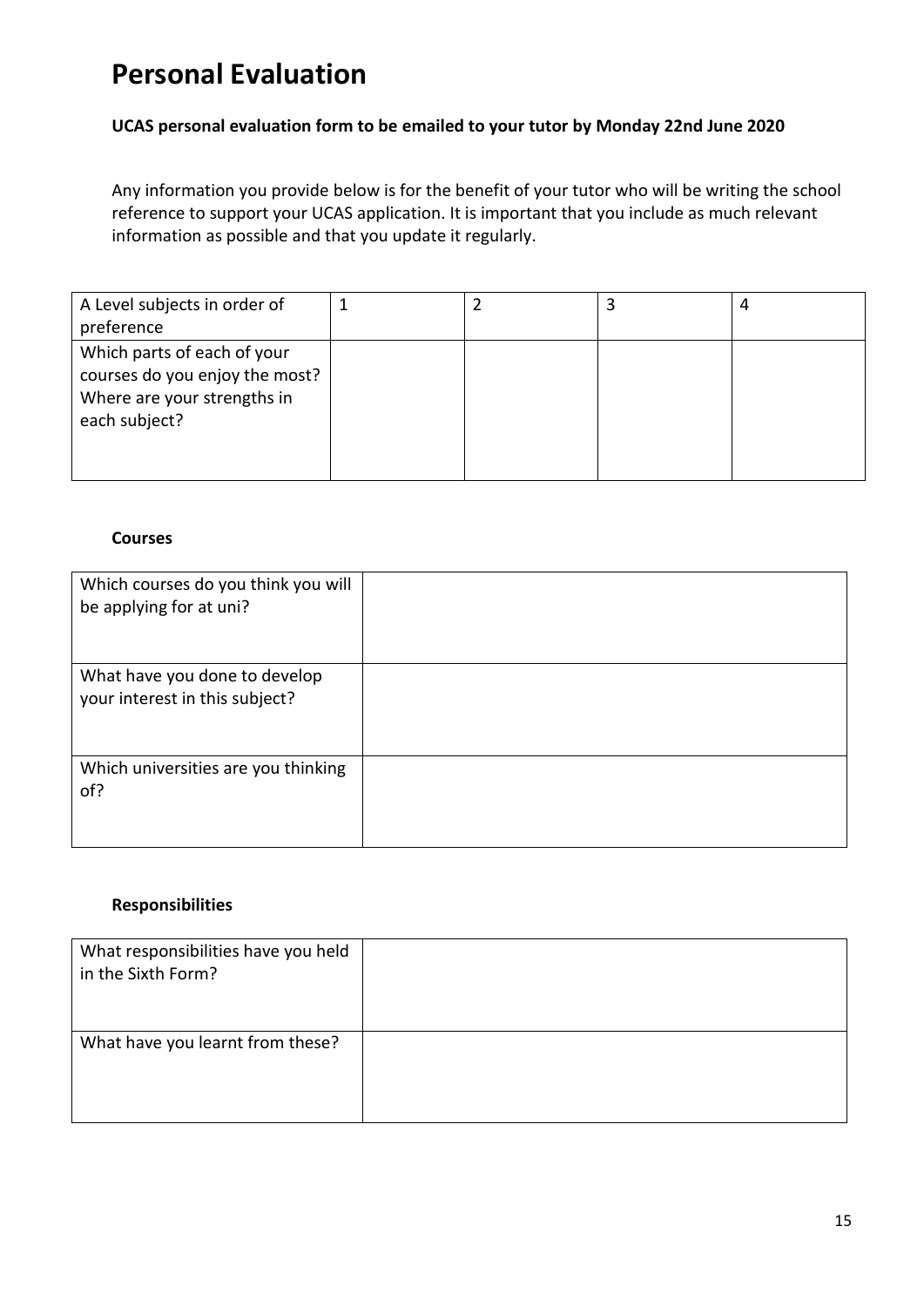# **Personal Evaluation**

#### **UCAS personal evaluation form to be emailed to your tutor by Monday 22nd June 2020**

Any information you provide below is for the benefit of your tutor who will be writing the school reference to support your UCAS application. It is important that you include as much relevant information as possible and that you update it regularly.

| A Level subjects in order of<br>preference                                                                    |  | 4 |
|---------------------------------------------------------------------------------------------------------------|--|---|
| Which parts of each of your<br>courses do you enjoy the most?<br>Where are your strengths in<br>each subject? |  |   |

#### **Courses**

| Which courses do you think you will<br>be applying for at uni?  |  |
|-----------------------------------------------------------------|--|
| What have you done to develop<br>your interest in this subject? |  |
| Which universities are you thinking<br>of?                      |  |

#### **Responsibilities**

| What responsibilities have you held<br>in the Sixth Form? |  |
|-----------------------------------------------------------|--|
| What have you learnt from these?                          |  |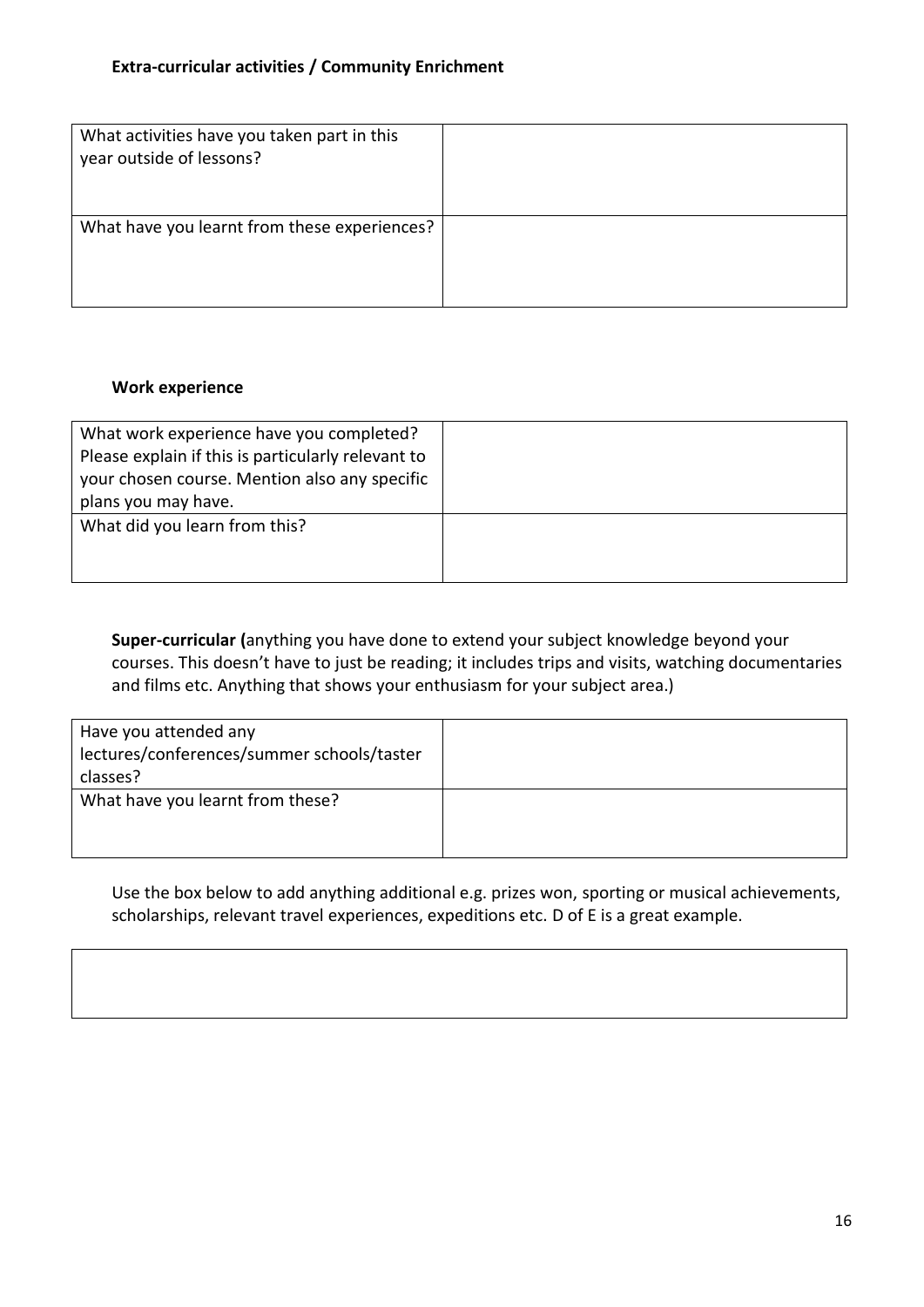| What activities have you taken part in this<br>year outside of lessons? |  |
|-------------------------------------------------------------------------|--|
| What have you learnt from these experiences?                            |  |

#### **Work experience**

| What work experience have you completed?           |  |
|----------------------------------------------------|--|
| Please explain if this is particularly relevant to |  |
| your chosen course. Mention also any specific      |  |
| plans you may have.                                |  |
| What did you learn from this?                      |  |
|                                                    |  |
|                                                    |  |

**Super-curricular (**anything you have done to extend your subject knowledge beyond your courses. This doesn't have to just be reading; it includes trips and visits, watching documentaries and films etc. Anything that shows your enthusiasm for your subject area.)

| Have you attended any<br>lectures/conferences/summer schools/taster<br>classes? |  |
|---------------------------------------------------------------------------------|--|
| What have you learnt from these?                                                |  |

Use the box below to add anything additional e.g. prizes won, sporting or musical achievements, scholarships, relevant travel experiences, expeditions etc. D of E is a great example.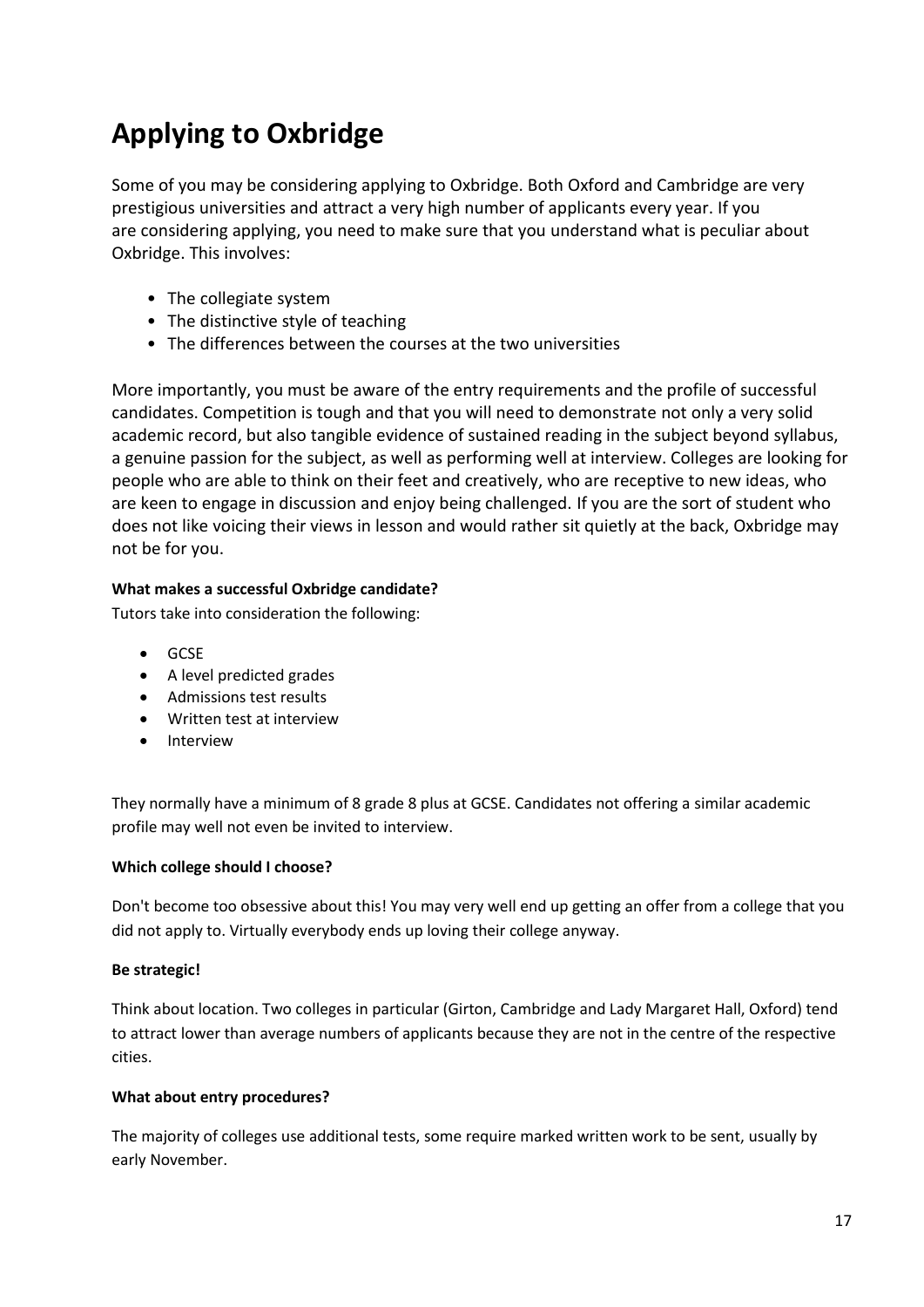# **Applying to Oxbridge**

Some of you may be considering applying to Oxbridge. Both Oxford and Cambridge are very prestigious universities and attract a very high number of applicants every year. If you are considering applying, you need to make sure that you understand what is peculiar about Oxbridge. This involves:

- The collegiate system
- The distinctive style of teaching
- The differences between the courses at the two universities

More importantly, you must be aware of the entry requirements and the profile of successful candidates. Competition is tough and that you will need to demonstrate not only a very solid academic record, but also tangible evidence of sustained reading in the subject beyond syllabus, a genuine passion for the subject, as well as performing well at interview. Colleges are looking for people who are able to think on their feet and creatively, who are receptive to new ideas, who are keen to engage in discussion and enjoy being challenged. If you are the sort of student who does not like voicing their views in lesson and would rather sit quietly at the back, Oxbridge may not be for you.

#### **What makes a successful Oxbridge candidate?**

Tutors take into consideration the following:

- GCSE
- A level predicted grades
- Admissions test results
- Written test at interview
- Interview

They normally have a minimum of 8 grade 8 plus at GCSE. Candidates not offering a similar academic profile may well not even be invited to interview.

#### **Which college should I choose?**

Don't become too obsessive about this! You may very well end up getting an offer from a college that you did not apply to. Virtually everybody ends up loving their college anyway.

#### **Be strategic!**

Think about location. Two colleges in particular (Girton, Cambridge and Lady Margaret Hall, Oxford) tend to attract lower than average numbers of applicants because they are not in the centre of the respective cities.

#### **What about entry procedures?**

The majority of colleges use additional tests, some require marked written work to be sent, usually by early November.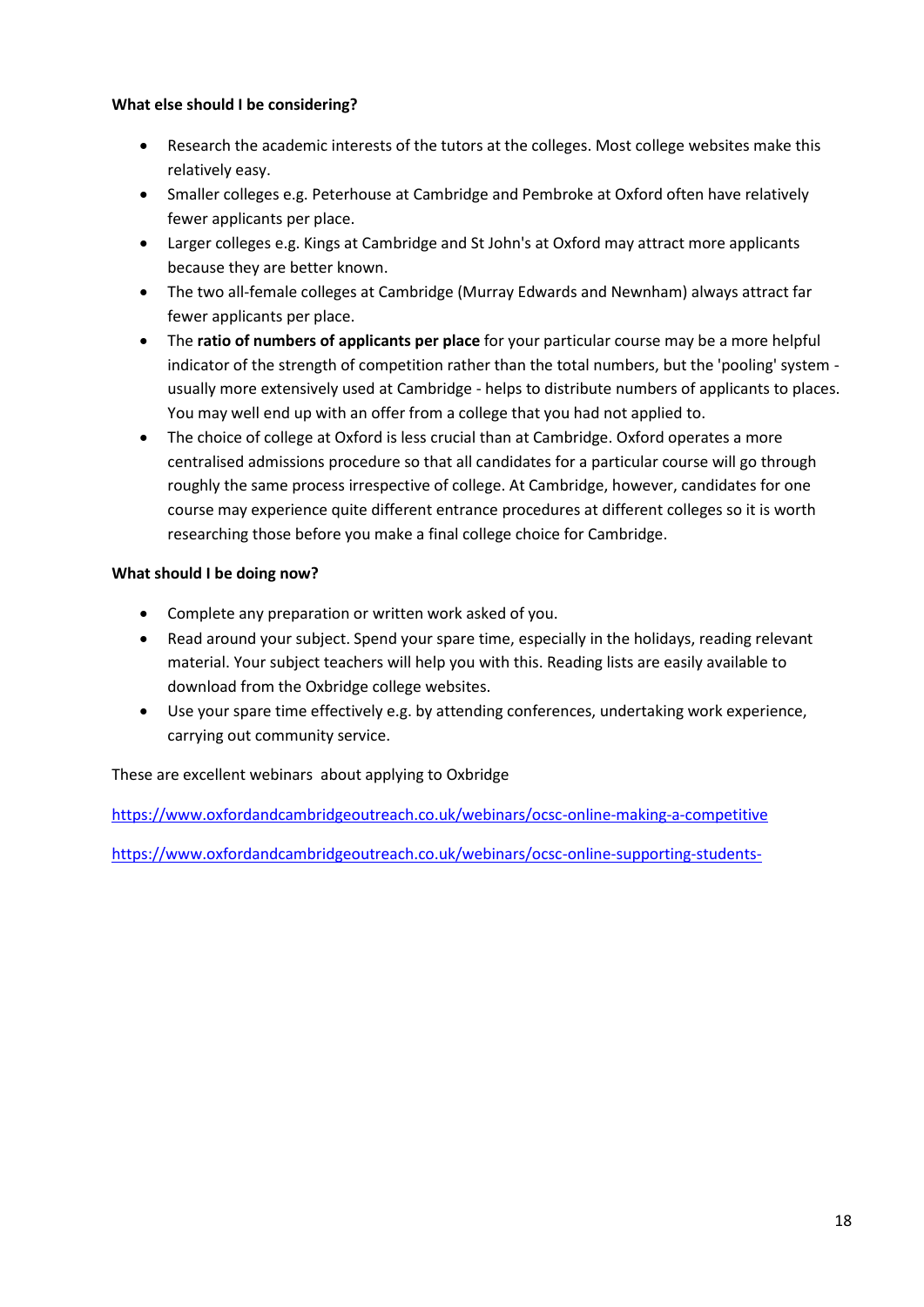#### **What else should I be considering?**

- Research the academic interests of the tutors at the colleges. Most college websites make this relatively easy.
- Smaller colleges e.g. Peterhouse at Cambridge and Pembroke at Oxford often have relatively fewer applicants per place.
- Larger colleges e.g. Kings at Cambridge and St John's at Oxford may attract more applicants because they are better known.
- The two all-female colleges at Cambridge (Murray Edwards and Newnham) always attract far fewer applicants per place.
- The **ratio of numbers of applicants per place** for your particular course may be a more helpful indicator of the strength of competition rather than the total numbers, but the 'pooling' system usually more extensively used at Cambridge - helps to distribute numbers of applicants to places. You may well end up with an offer from a college that you had not applied to.
- The choice of college at Oxford is less crucial than at Cambridge. Oxford operates a more centralised admissions procedure so that all candidates for a particular course will go through roughly the same process irrespective of college. At Cambridge, however, candidates for one course may experience quite different entrance procedures at different colleges so it is worth researching those before you make a final college choice for Cambridge.

#### **What should I be doing now?**

- Complete any preparation or written work asked of you.
- Read around your subject. Spend your spare time, especially in the holidays, reading relevant material. Your subject teachers will help you with this. Reading lists are easily available to download from the Oxbridge college websites.
- Use your spare time effectively e.g. by attending conferences, undertaking work experience, carrying out community service.

#### These are excellent webinars about applying to Oxbridge

<https://www.oxfordandcambridgeoutreach.co.uk/webinars/ocsc-online-making-a-competitive>

<https://www.oxfordandcambridgeoutreach.co.uk/webinars/ocsc-online-supporting-students->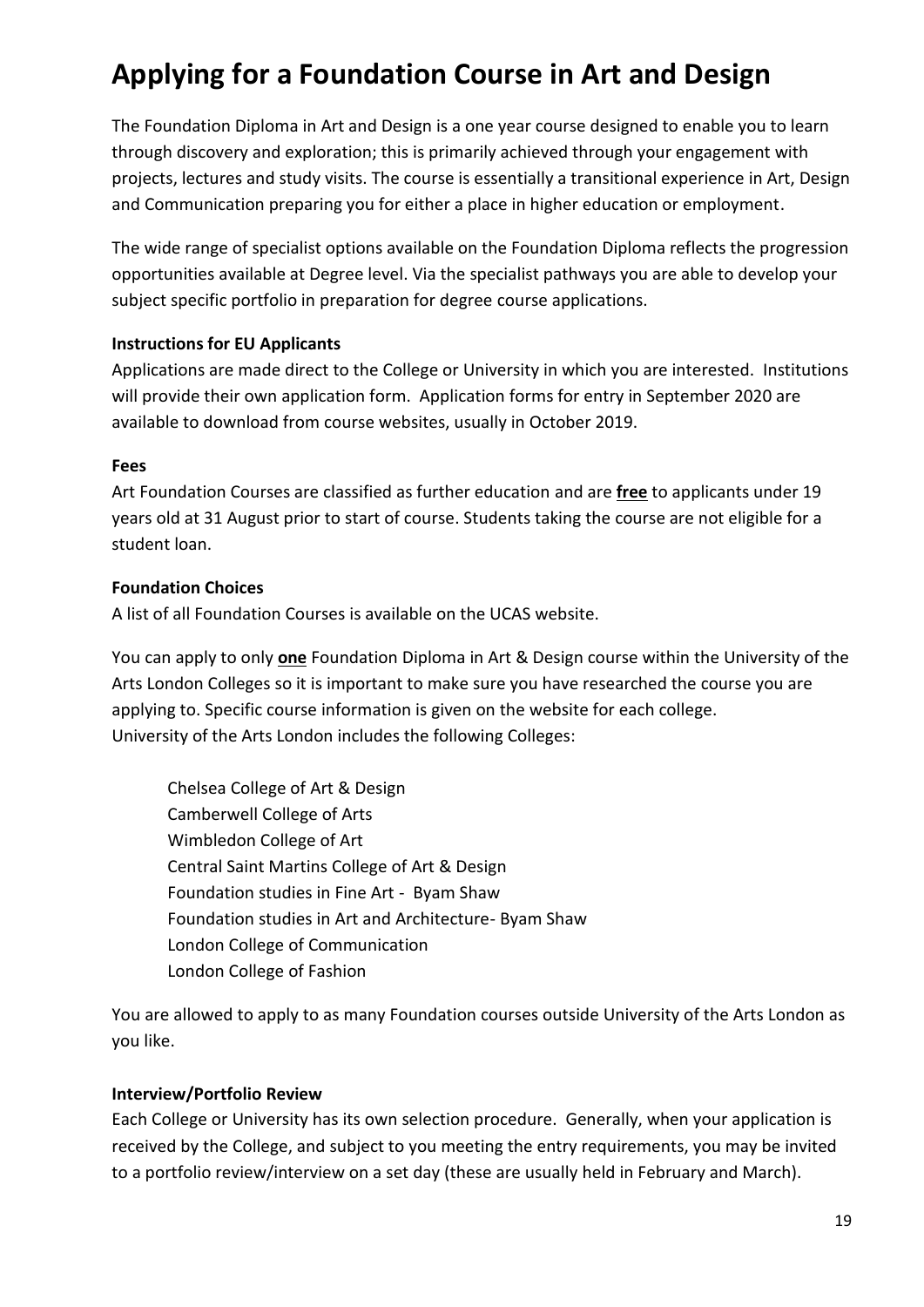# **Applying for a Foundation Course in Art and Design**

The Foundation Diploma in Art and Design is a one year course designed to enable you to learn through discovery and exploration; this is primarily achieved through your engagement with projects, lectures and study visits. The course is essentially a transitional experience in Art, Design and Communication preparing you for either a place in higher education or employment.

The wide range of specialist options available on the Foundation Diploma reflects the progression opportunities available at Degree level. Via the specialist pathways you are able to develop your subject specific portfolio in preparation for degree course applications.

#### **Instructions for EU Applicants**

Applications are made direct to the College or University in which you are interested. Institutions will provide their own application form. Application forms for entry in September 2020 are available to download from course websites, usually in October 2019.

#### **Fees**

Art Foundation Courses are classified as further education and are **free** to applicants under 19 years old at 31 August prior to start of course. Students taking the course are not eligible for a student loan.

#### **Foundation Choices**

A list of all Foundation Courses is available on the UCAS website.

You can apply to only **one** Foundation Diploma in Art & Design course within the University of the Arts London Colleges so it is important to make sure you have researched the course you are applying to. Specific course information is given on the website for each college. University of the Arts London includes the following Colleges:

Chelsea College of Art & Design Camberwell College of Arts Wimbledon College of Art Central Saint Martins College of Art & Design Foundation studies in Fine Art - Byam Shaw Foundation studies in Art and Architecture- Byam Shaw London College of Communication London College of Fashion

You are allowed to apply to as many Foundation courses outside University of the Arts London as you like.

#### **Interview/Portfolio Review**

Each College or University has its own selection procedure. Generally, when your application is received by the College, and subject to you meeting the entry requirements, you may be invited to a portfolio review/interview on a set day (these are usually held in February and March).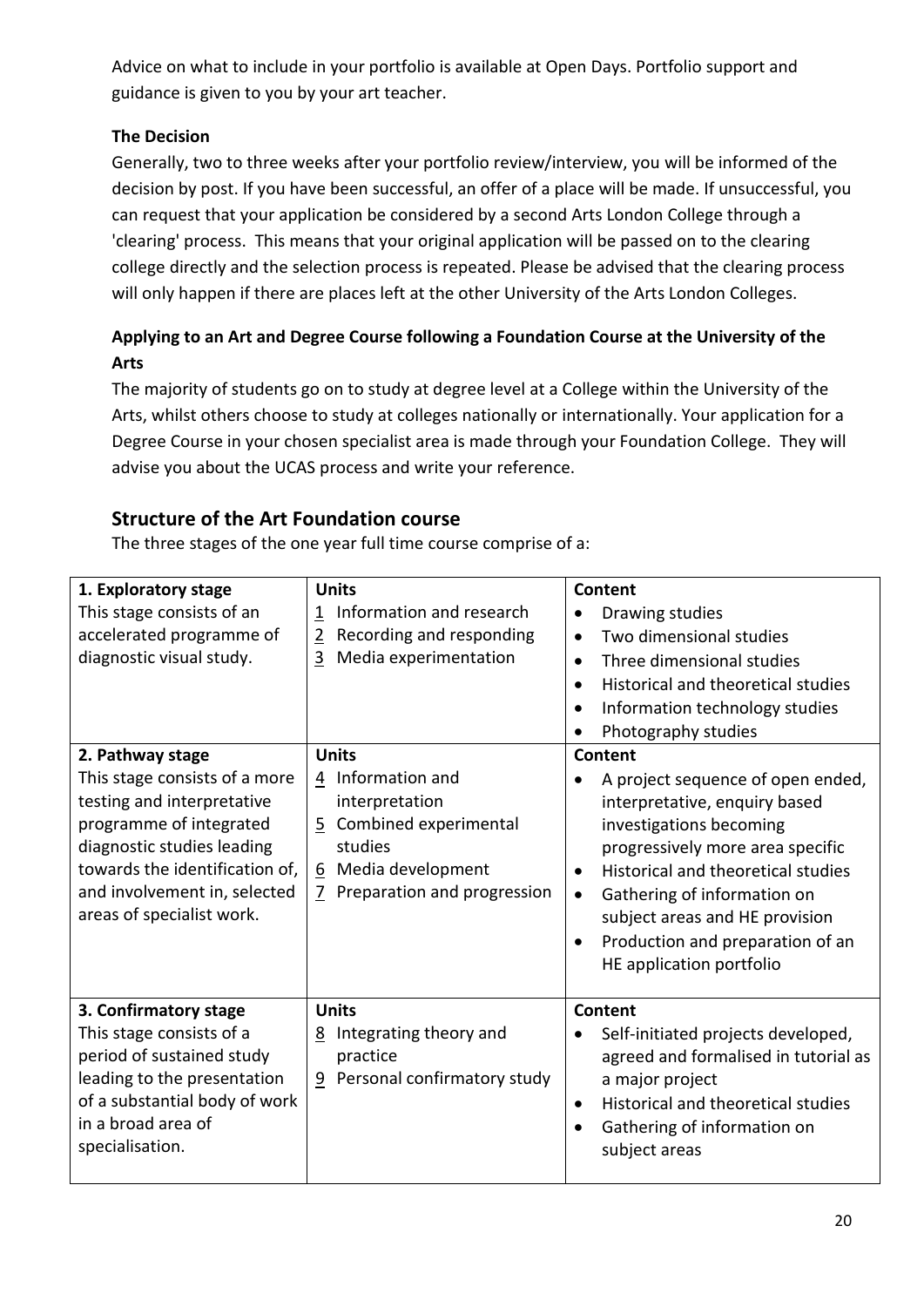Advice on what to include in your portfolio is available at Open Days. Portfolio support and guidance is given to you by your art teacher.

## **The Decision**

Generally, two to three weeks after your portfolio review/interview, you will be informed of the decision by post. If you have been successful, an offer of a place will be made. If unsuccessful, you can request that your application be considered by a second Arts London College through a 'clearing' process. This means that your original application will be passed on to the clearing college directly and the selection process is repeated. Please be advised that the clearing process will only happen if there are places left at the other University of the Arts London Colleges.

## **Applying to an Art and Degree Course following a Foundation Course at the University of the Arts**

The majority of students go on to study at degree level at a College within the University of the Arts, whilst others choose to study at colleges nationally or internationally. Your application for a Degree Course in your chosen specialist area is made through your Foundation College. They will advise you about the UCAS process and write your reference.

## **Structure of the Art Foundation course**

The three stages of the one year full time course comprise of a:

| 1. Exploratory stage<br>This stage consists of an<br>accelerated programme of<br>diagnostic visual study.                                                                                                                               | <b>Units</b><br>Information and research<br>$\mathbf{1}$<br>Recording and responding<br>$\overline{2}$<br>3<br>Media experimentation              | <b>Content</b><br>Drawing studies<br>Two dimensional studies<br>$\bullet$<br>Three dimensional studies<br>$\bullet$<br>Historical and theoretical studies<br>$\bullet$<br>Information technology studies<br>$\bullet$<br>Photography studies                                                                                                  |
|-----------------------------------------------------------------------------------------------------------------------------------------------------------------------------------------------------------------------------------------|---------------------------------------------------------------------------------------------------------------------------------------------------|-----------------------------------------------------------------------------------------------------------------------------------------------------------------------------------------------------------------------------------------------------------------------------------------------------------------------------------------------|
| 2. Pathway stage<br>This stage consists of a more<br>testing and interpretative<br>programme of integrated<br>diagnostic studies leading<br>towards the identification of,<br>and involvement in, selected<br>areas of specialist work. | <b>Units</b><br>4 Information and<br>interpretation<br>5 Combined experimental<br>studies<br>6 Media development<br>7 Preparation and progression | Content<br>A project sequence of open ended,<br>interpretative, enquiry based<br>investigations becoming<br>progressively more area specific<br>Historical and theoretical studies<br>$\bullet$<br>Gathering of information on<br>$\bullet$<br>subject areas and HE provision<br>Production and preparation of an<br>HE application portfolio |
| 3. Confirmatory stage<br>This stage consists of a<br>period of sustained study<br>leading to the presentation<br>of a substantial body of work<br>in a broad area of<br>specialisation.                                                 | <b>Units</b><br>Integrating theory and<br>8<br>practice<br>Personal confirmatory study<br>9                                                       | Content<br>Self-initiated projects developed,<br>agreed and formalised in tutorial as<br>a major project<br>Historical and theoretical studies<br>$\bullet$<br>Gathering of information on<br>subject areas                                                                                                                                   |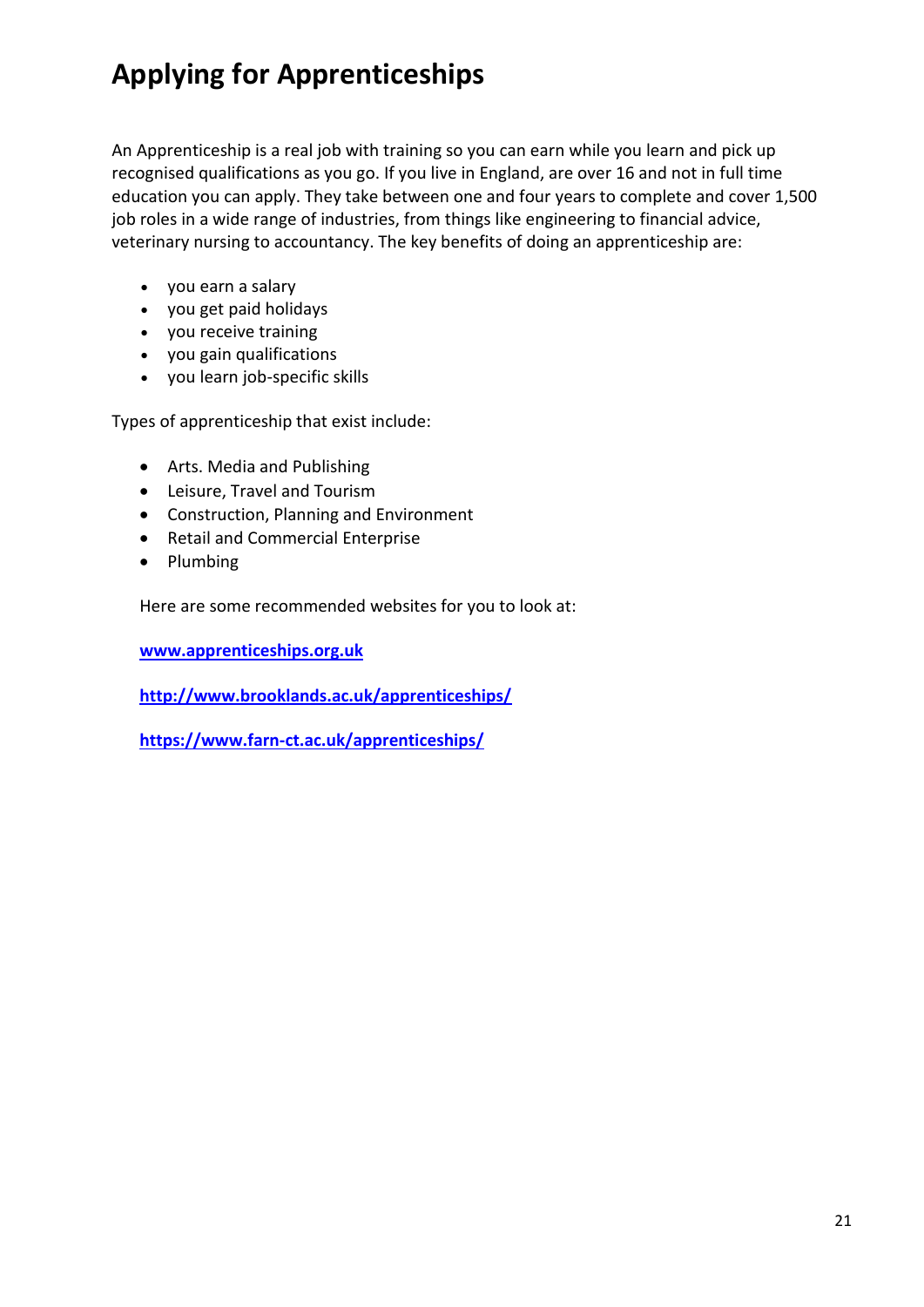# **Applying for Apprenticeships**

An Apprenticeship is a real job with training so you can earn while you learn and pick up recognised qualifications as you go. If you live in England, are over 16 and not in full time education you can apply. They take between one and four years to complete and cover 1,500 job roles in a wide range of industries, from things like engineering to financial advice, veterinary nursing to accountancy. The key benefits of doing an apprenticeship are:

- you earn a salary
- you get paid holidays
- you receive training
- you gain qualifications
- you learn job-specific skills

Types of apprenticeship that exist include:

- Arts. Media and Publishing
- Leisure, Travel and Tourism
- Construction, Planning and Environment
- Retail and Commercial Enterprise
- Plumbing

Here are some recommended websites for you to look at:

**[www.apprenticeships.org.uk](http://www.apprenticeships.org.uk/)**

**<http://www.brooklands.ac.uk/apprenticeships/>**

**<https://www.farn-ct.ac.uk/apprenticeships/>**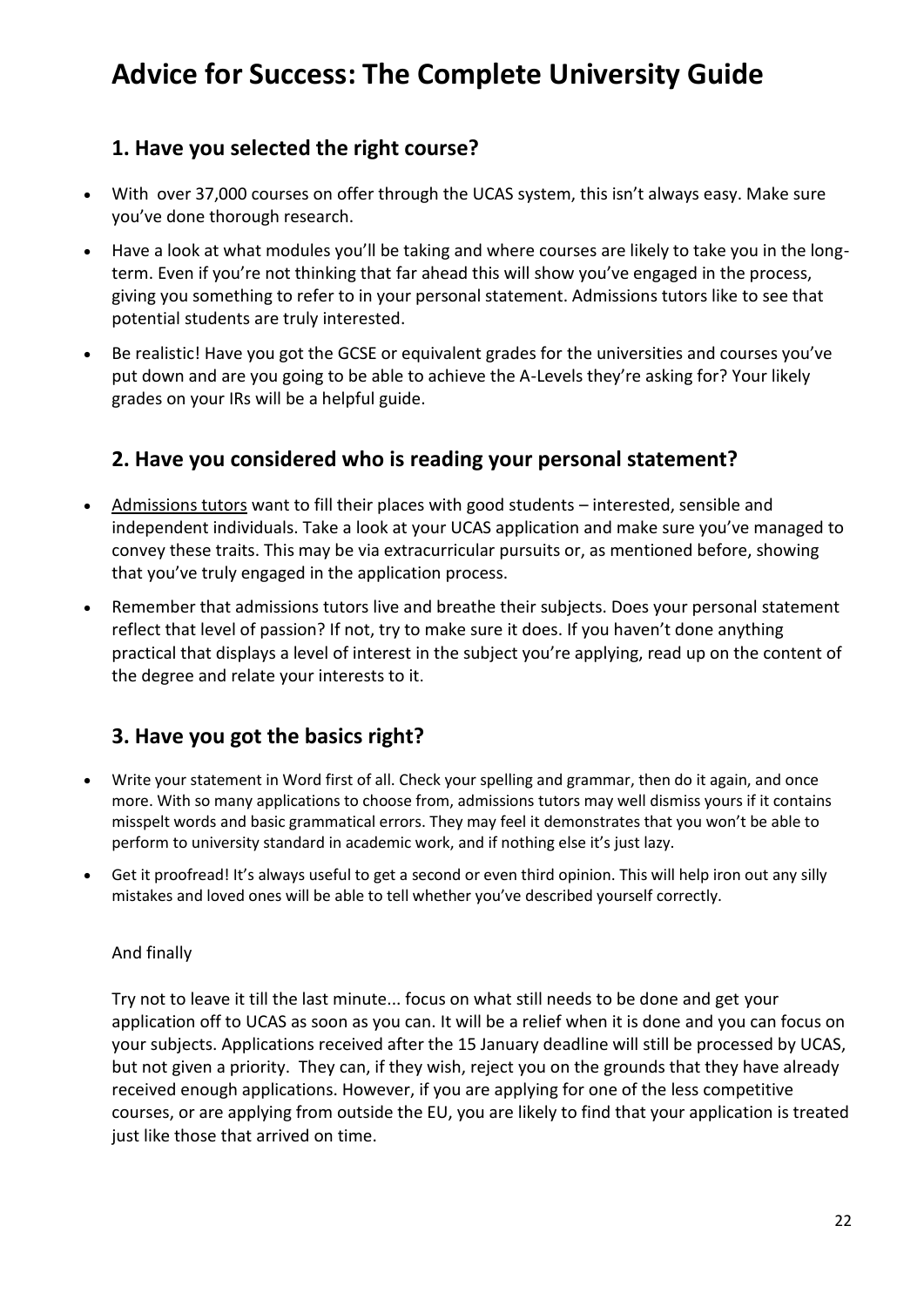# **Advice for Success: The Complete University Guide**

# **1. Have you selected the right course?**

- With over 37,000 courses on offer through the UCAS system, this isn't always easy. Make sure you've done thorough research.
- Have a look at what modules you'll be taking and where courses are likely to take you in the longterm. Even if you're not thinking that far ahead this will show you've engaged in the process, giving you something to refer to in your personal statement. Admissions tutors like to see that potential students are truly interested.
- Be realistic! Have you got the GCSE or equivalent grades for the universities and courses you've put down and are you going to be able to achieve the A-Levels they're asking for? Your likely grades on your IRs will be a helpful guide.

# **2. Have you considered who is reading your personal statement?**

- [Admissions tutors](https://www.thecompleteuniversityguide.co.uk/universities/applying-to-university/personal-statements/an-insider) want to fill their places with good students interested, sensible and independent individuals. Take a look at your UCAS application and make sure you've managed to convey these traits. This may be via extracurricular pursuits or, as mentioned before, showing that you've truly engaged in the application process.
- Remember that admissions tutors live and breathe their subjects. Does your personal statement reflect that level of passion? If not, try to make sure it does. If you haven't done anything practical that displays a level of interest in the subject you're applying, read up on the content of the degree and relate your interests to it.

# **3. Have you got the basics right?**

- Write your statement in Word first of all. Check your spelling and grammar, then do it again, and once more. With so many applications to choose from, admissions tutors may well dismiss yours if it contains misspelt words and basic grammatical errors. They may feel it demonstrates that you won't be able to perform to university standard in academic work, and if nothing else it's just lazy.
- Get it proofread! It's always useful to get a second or even third opinion. This will help iron out any silly mistakes and loved ones will be able to tell whether you've described yourself correctly.

## And finally

Try not to leave it till the last minute... focus on what still needs to be done and get your application off to UCAS as soon as you can. It will be a relief when it is done and you can focus on your subjects. Applications received after the 15 January deadline will still be processed by UCAS, but not given a priority. They can, if they wish, reject you on the grounds that they have already received enough applications. However, if you are applying for one of the less competitive courses, or are applying from outside the EU, you are likely to find that your application is treated just like those that arrived on time.